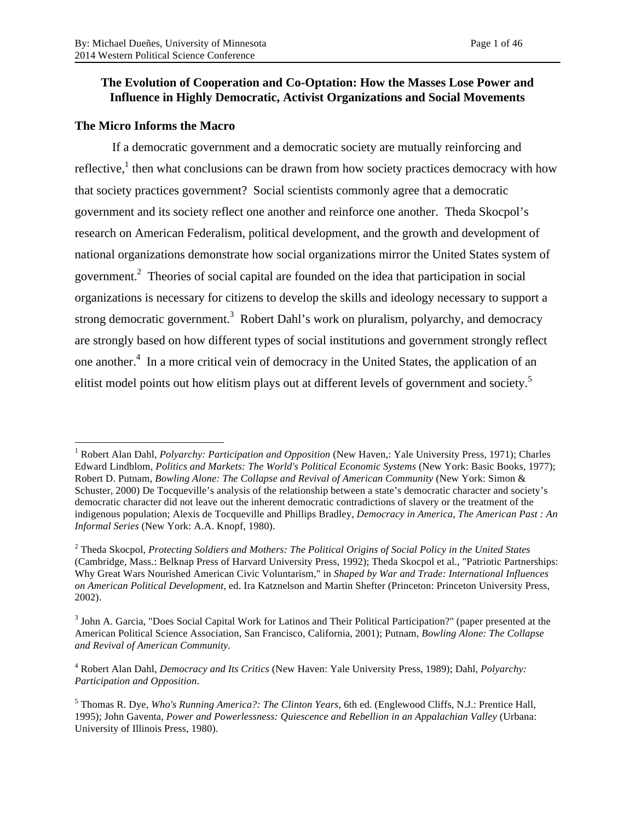## **The Evolution of Cooperation and Co-Optation: How the Masses Lose Power and Influence in Highly Democratic, Activist Organizations and Social Movements**

## **The Micro Informs the Macro**

If a democratic government and a democratic society are mutually reinforcing and reflective,<sup>1</sup> then what conclusions can be drawn from how society practices democracy with how that society practices government? Social scientists commonly agree that a democratic government and its society reflect one another and reinforce one another. Theda Skocpol's research on American Federalism, political development, and the growth and development of national organizations demonstrate how social organizations mirror the United States system of government.<sup>2</sup> Theories of social capital are founded on the idea that participation in social organizations is necessary for citizens to develop the skills and ideology necessary to support a strong democratic government.<sup>3</sup> Robert Dahl's work on pluralism, polyarchy, and democracy are strongly based on how different types of social institutions and government strongly reflect one another.<sup>4</sup> In a more critical vein of democracy in the United States, the application of an elitist model points out how elitism plays out at different levels of government and society.<sup>5</sup>

<sup>4</sup> Robert Alan Dahl, *Democracy and Its Critics* (New Haven: Yale University Press, 1989); Dahl, *Polyarchy: Participation and Opposition*.

<sup>&</sup>lt;sup>1</sup> Robert Alan Dahl, *Polyarchy: Participation and Opposition* (New Haven,: Yale University Press, 1971); Charles Edward Lindblom, *Politics and Markets: The World's Political Economic Systems* (New York: Basic Books, 1977); Robert D. Putnam, *Bowling Alone: The Collapse and Revival of American Community* (New York: Simon & Schuster, 2000) De Tocqueville's analysis of the relationship between a state's democratic character and society's democratic character did not leave out the inherent democratic contradictions of slavery or the treatment of the indigenous population; Alexis de Tocqueville and Phillips Bradley, *Democracy in America*, *The American Past : An Informal Series* (New York: A.A. Knopf, 1980).

<sup>2</sup> Theda Skocpol, *Protecting Soldiers and Mothers: The Political Origins of Social Policy in the United States* (Cambridge, Mass.: Belknap Press of Harvard University Press, 1992); Theda Skocpol et al., "Patriotic Partnerships: Why Great Wars Nourished American Civic Voluntarism," in *Shaped by War and Trade: International Influences on American Political Development*, ed. Ira Katznelson and Martin Shefter (Princeton: Princeton University Press, 2002).

<sup>3</sup> John A. Garcia, "Does Social Capital Work for Latinos and Their Political Participation?" (paper presented at the American Political Science Association, San Francisco, California, 2001); Putnam, *Bowling Alone: The Collapse and Revival of American Community*.

<sup>5</sup> Thomas R. Dye, *Who's Running America?: The Clinton Years*, 6th ed. (Englewood Cliffs, N.J.: Prentice Hall, 1995); John Gaventa, *Power and Powerlessness: Quiescence and Rebellion in an Appalachian Valley* (Urbana: University of Illinois Press, 1980).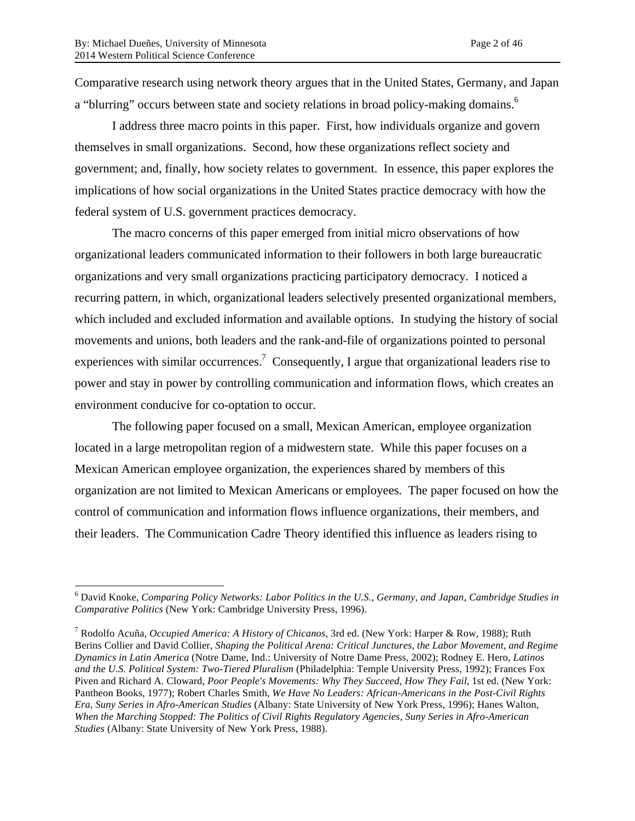Comparative research using network theory argues that in the United States, Germany, and Japan a "blurring" occurs between state and society relations in broad policy-making domains.<sup>6</sup>

I address three macro points in this paper. First, how individuals organize and govern themselves in small organizations. Second, how these organizations reflect society and government; and, finally, how society relates to government. In essence, this paper explores the implications of how social organizations in the United States practice democracy with how the federal system of U.S. government practices democracy.

The macro concerns of this paper emerged from initial micro observations of how organizational leaders communicated information to their followers in both large bureaucratic organizations and very small organizations practicing participatory democracy. I noticed a recurring pattern, in which, organizational leaders selectively presented organizational members, which included and excluded information and available options. In studying the history of social movements and unions, both leaders and the rank-and-file of organizations pointed to personal experiences with similar occurrences.<sup>7</sup> Consequently, I argue that organizational leaders rise to power and stay in power by controlling communication and information flows, which creates an environment conducive for co-optation to occur.

The following paper focused on a small, Mexican American, employee organization located in a large metropolitan region of a midwestern state. While this paper focuses on a Mexican American employee organization, the experiences shared by members of this organization are not limited to Mexican Americans or employees. The paper focused on how the control of communication and information flows influence organizations, their members, and their leaders. The Communication Cadre Theory identified this influence as leaders rising to

 <sup>6</sup> David Knoke, *Comparing Policy Networks: Labor Politics in the U.S., Germany, and Japan*, *Cambridge Studies in Comparative Politics* (New York: Cambridge University Press, 1996).

<sup>7</sup> Rodolfo Acuña, *Occupied America: A History of Chicanos*, 3rd ed. (New York: Harper & Row, 1988); Ruth Berins Collier and David Collier, *Shaping the Political Arena: Critical Junctures, the Labor Movement, and Regime Dynamics in Latin America* (Notre Dame, Ind.: University of Notre Dame Press, 2002); Rodney E. Hero, *Latinos and the U.S. Political System: Two-Tiered Pluralism* (Philadelphia: Temple University Press, 1992); Frances Fox Piven and Richard A. Cloward, *Poor People's Movements: Why They Succeed, How They Fail*, 1st ed. (New York: Pantheon Books, 1977); Robert Charles Smith, *We Have No Leaders: African-Americans in the Post-Civil Rights Era*, *Suny Series in Afro-American Studies* (Albany: State University of New York Press, 1996); Hanes Walton, *When the Marching Stopped: The Politics of Civil Rights Regulatory Agencies*, *Suny Series in Afro-American Studies* (Albany: State University of New York Press, 1988).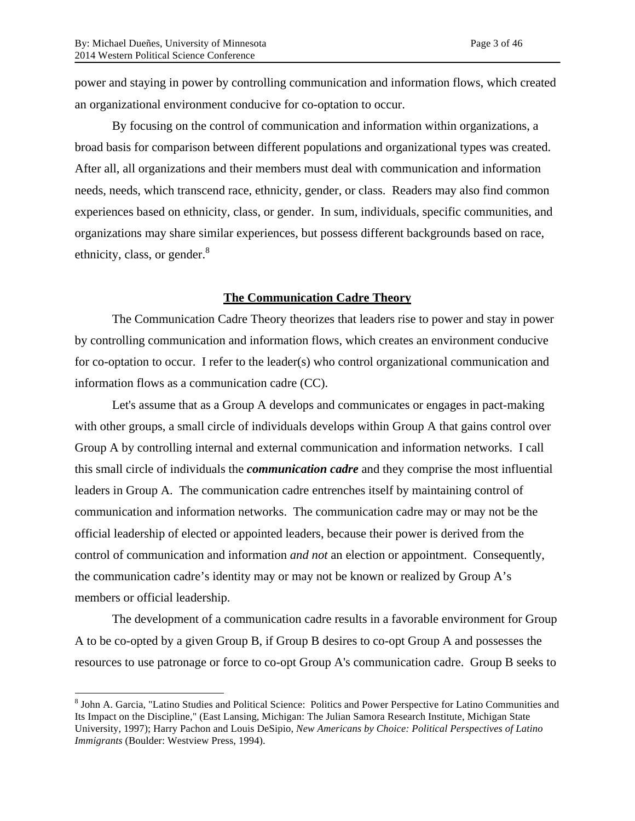power and staying in power by controlling communication and information flows, which created an organizational environment conducive for co-optation to occur.

By focusing on the control of communication and information within organizations, a broad basis for comparison between different populations and organizational types was created. After all, all organizations and their members must deal with communication and information needs, needs, which transcend race, ethnicity, gender, or class. Readers may also find common experiences based on ethnicity, class, or gender. In sum, individuals, specific communities, and organizations may share similar experiences, but possess different backgrounds based on race, ethnicity, class, or gender. $8$ 

### **The Communication Cadre Theory**

The Communication Cadre Theory theorizes that leaders rise to power and stay in power by controlling communication and information flows, which creates an environment conducive for co-optation to occur. I refer to the leader(s) who control organizational communication and information flows as a communication cadre (CC).

Let's assume that as a Group A develops and communicates or engages in pact-making with other groups, a small circle of individuals develops within Group A that gains control over Group A by controlling internal and external communication and information networks. I call this small circle of individuals the *communication cadre* and they comprise the most influential leaders in Group A. The communication cadre entrenches itself by maintaining control of communication and information networks. The communication cadre may or may not be the official leadership of elected or appointed leaders, because their power is derived from the control of communication and information *and not* an election or appointment. Consequently, the communication cadre's identity may or may not be known or realized by Group A's members or official leadership.

The development of a communication cadre results in a favorable environment for Group A to be co-opted by a given Group B, if Group B desires to co-opt Group A and possesses the resources to use patronage or force to co-opt Group A's communication cadre. Group B seeks to

 <sup>8</sup> John A. Garcia, "Latino Studies and Political Science: Politics and Power Perspective for Latino Communities and Its Impact on the Discipline," (East Lansing, Michigan: The Julian Samora Research Institute, Michigan State University, 1997); Harry Pachon and Louis DeSipio, *New Americans by Choice: Political Perspectives of Latino Immigrants* (Boulder: Westview Press, 1994).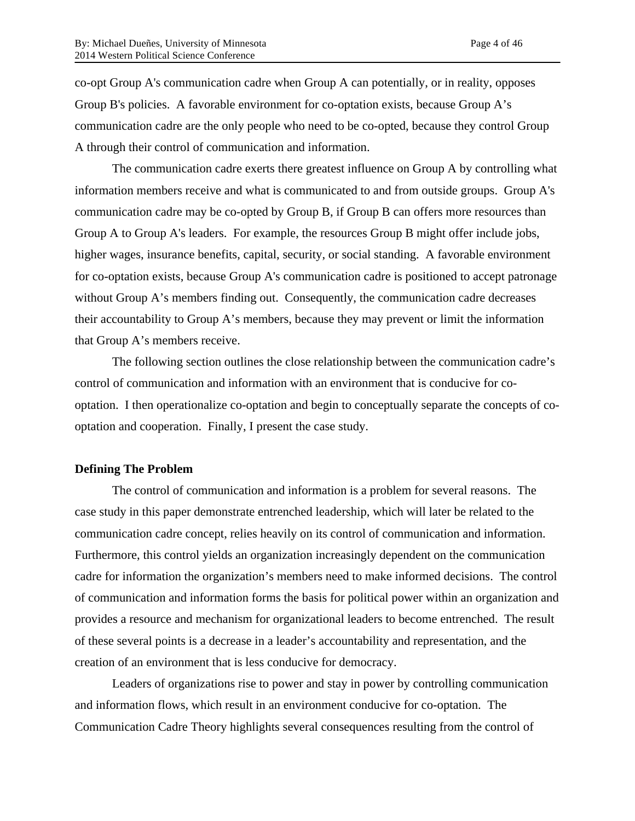co-opt Group A's communication cadre when Group A can potentially, or in reality, opposes Group B's policies. A favorable environment for co-optation exists, because Group A's communication cadre are the only people who need to be co-opted, because they control Group A through their control of communication and information.

The communication cadre exerts there greatest influence on Group A by controlling what information members receive and what is communicated to and from outside groups. Group A's communication cadre may be co-opted by Group B, if Group B can offers more resources than Group A to Group A's leaders. For example, the resources Group B might offer include jobs, higher wages, insurance benefits, capital, security, or social standing. A favorable environment for co-optation exists, because Group A's communication cadre is positioned to accept patronage without Group A's members finding out. Consequently, the communication cadre decreases their accountability to Group A's members, because they may prevent or limit the information that Group A's members receive.

The following section outlines the close relationship between the communication cadre's control of communication and information with an environment that is conducive for cooptation. I then operationalize co-optation and begin to conceptually separate the concepts of cooptation and cooperation. Finally, I present the case study.

#### **Defining The Problem**

The control of communication and information is a problem for several reasons. The case study in this paper demonstrate entrenched leadership, which will later be related to the communication cadre concept, relies heavily on its control of communication and information. Furthermore, this control yields an organization increasingly dependent on the communication cadre for information the organization's members need to make informed decisions. The control of communication and information forms the basis for political power within an organization and provides a resource and mechanism for organizational leaders to become entrenched. The result of these several points is a decrease in a leader's accountability and representation, and the creation of an environment that is less conducive for democracy.

Leaders of organizations rise to power and stay in power by controlling communication and information flows, which result in an environment conducive for co-optation. The Communication Cadre Theory highlights several consequences resulting from the control of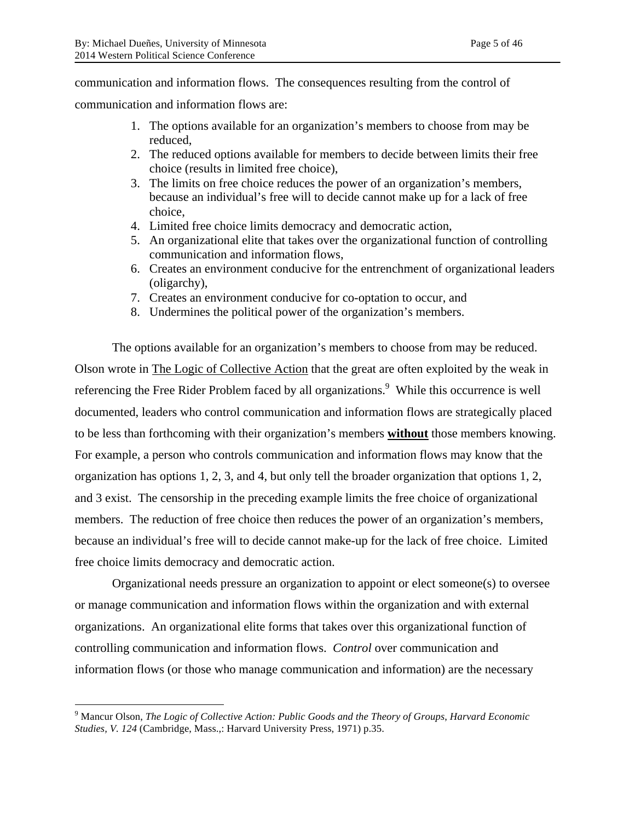communication and information flows. The consequences resulting from the control of

communication and information flows are:

- 1. The options available for an organization's members to choose from may be reduced,
- 2. The reduced options available for members to decide between limits their free choice (results in limited free choice),
- 3. The limits on free choice reduces the power of an organization's members, because an individual's free will to decide cannot make up for a lack of free choice,
- 4. Limited free choice limits democracy and democratic action,
- 5. An organizational elite that takes over the organizational function of controlling communication and information flows,
- 6. Creates an environment conducive for the entrenchment of organizational leaders (oligarchy),
- 7. Creates an environment conducive for co-optation to occur, and
- 8. Undermines the political power of the organization's members.

The options available for an organization's members to choose from may be reduced. Olson wrote in The Logic of Collective Action that the great are often exploited by the weak in referencing the Free Rider Problem faced by all organizations.<sup>9</sup> While this occurrence is well documented, leaders who control communication and information flows are strategically placed to be less than forthcoming with their organization's members **without** those members knowing. For example, a person who controls communication and information flows may know that the organization has options 1, 2, 3, and 4, but only tell the broader organization that options 1, 2, and 3 exist. The censorship in the preceding example limits the free choice of organizational members. The reduction of free choice then reduces the power of an organization's members, because an individual's free will to decide cannot make-up for the lack of free choice. Limited free choice limits democracy and democratic action.

Organizational needs pressure an organization to appoint or elect someone(s) to oversee or manage communication and information flows within the organization and with external organizations. An organizational elite forms that takes over this organizational function of controlling communication and information flows. *Control* over communication and information flows (or those who manage communication and information) are the necessary

 <sup>9</sup> Mancur Olson, *The Logic of Collective Action: Public Goods and the Theory of Groups*, *Harvard Economic Studies, V. 124* (Cambridge, Mass.,: Harvard University Press, 1971) p.35.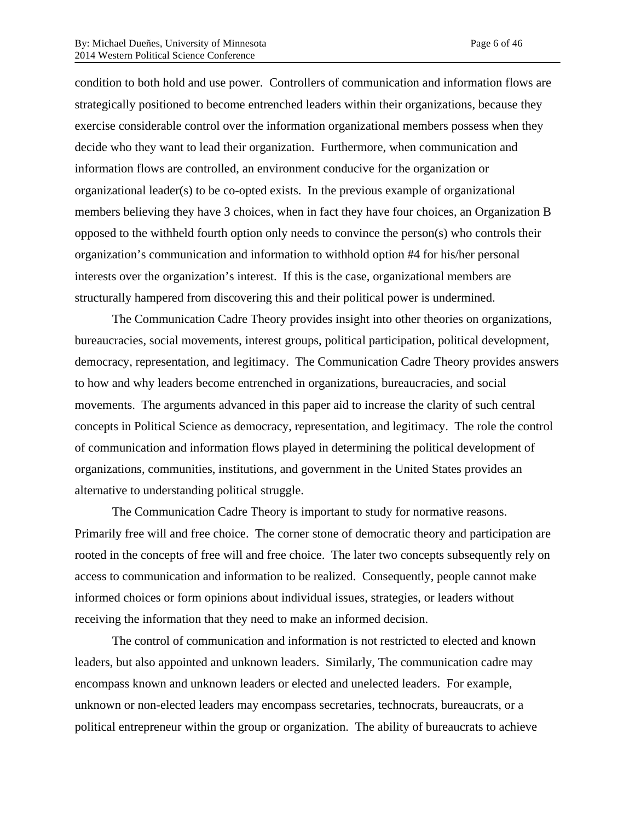condition to both hold and use power. Controllers of communication and information flows are strategically positioned to become entrenched leaders within their organizations, because they exercise considerable control over the information organizational members possess when they decide who they want to lead their organization. Furthermore, when communication and information flows are controlled, an environment conducive for the organization or organizational leader(s) to be co-opted exists. In the previous example of organizational members believing they have 3 choices, when in fact they have four choices, an Organization B opposed to the withheld fourth option only needs to convince the person(s) who controls their organization's communication and information to withhold option #4 for his/her personal interests over the organization's interest. If this is the case, organizational members are structurally hampered from discovering this and their political power is undermined.

The Communication Cadre Theory provides insight into other theories on organizations, bureaucracies, social movements, interest groups, political participation, political development, democracy, representation, and legitimacy. The Communication Cadre Theory provides answers to how and why leaders become entrenched in organizations, bureaucracies, and social movements. The arguments advanced in this paper aid to increase the clarity of such central concepts in Political Science as democracy, representation, and legitimacy. The role the control of communication and information flows played in determining the political development of organizations, communities, institutions, and government in the United States provides an alternative to understanding political struggle.

The Communication Cadre Theory is important to study for normative reasons. Primarily free will and free choice. The corner stone of democratic theory and participation are rooted in the concepts of free will and free choice. The later two concepts subsequently rely on access to communication and information to be realized. Consequently, people cannot make informed choices or form opinions about individual issues, strategies, or leaders without receiving the information that they need to make an informed decision.

The control of communication and information is not restricted to elected and known leaders, but also appointed and unknown leaders. Similarly, The communication cadre may encompass known and unknown leaders or elected and unelected leaders. For example, unknown or non-elected leaders may encompass secretaries, technocrats, bureaucrats, or a political entrepreneur within the group or organization. The ability of bureaucrats to achieve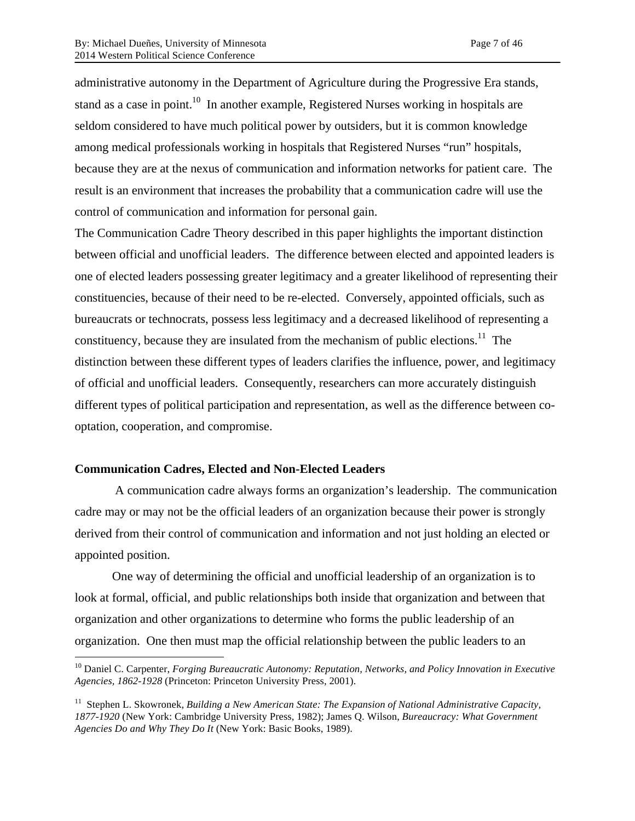administrative autonomy in the Department of Agriculture during the Progressive Era stands, stand as a case in point.<sup>10</sup> In another example, Registered Nurses working in hospitals are seldom considered to have much political power by outsiders, but it is common knowledge among medical professionals working in hospitals that Registered Nurses "run" hospitals, because they are at the nexus of communication and information networks for patient care. The result is an environment that increases the probability that a communication cadre will use the control of communication and information for personal gain.

The Communication Cadre Theory described in this paper highlights the important distinction between official and unofficial leaders. The difference between elected and appointed leaders is one of elected leaders possessing greater legitimacy and a greater likelihood of representing their constituencies, because of their need to be re-elected. Conversely, appointed officials, such as bureaucrats or technocrats, possess less legitimacy and a decreased likelihood of representing a constituency, because they are insulated from the mechanism of public elections.<sup>11</sup> The distinction between these different types of leaders clarifies the influence, power, and legitimacy of official and unofficial leaders. Consequently, researchers can more accurately distinguish different types of political participation and representation, as well as the difference between cooptation, cooperation, and compromise.

## **Communication Cadres, Elected and Non-Elected Leaders**

 A communication cadre always forms an organization's leadership. The communication cadre may or may not be the official leaders of an organization because their power is strongly derived from their control of communication and information and not just holding an elected or appointed position.

One way of determining the official and unofficial leadership of an organization is to look at formal, official, and public relationships both inside that organization and between that organization and other organizations to determine who forms the public leadership of an organization. One then must map the official relationship between the public leaders to an

<sup>&</sup>lt;sup>10</sup> Daniel C. Carpenter, *Forging Bureaucratic Autonomy: Reputation, Networks, and Policy Innovation in Executive Agencies, 1862-1928* (Princeton: Princeton University Press, 2001).

<sup>&</sup>lt;sup>11</sup> Stephen L. Skowronek, *Building a New American State: The Expansion of National Administrative Capacity, 1877-1920* (New York: Cambridge University Press, 1982); James Q. Wilson, *Bureaucracy: What Government Agencies Do and Why They Do It* (New York: Basic Books, 1989).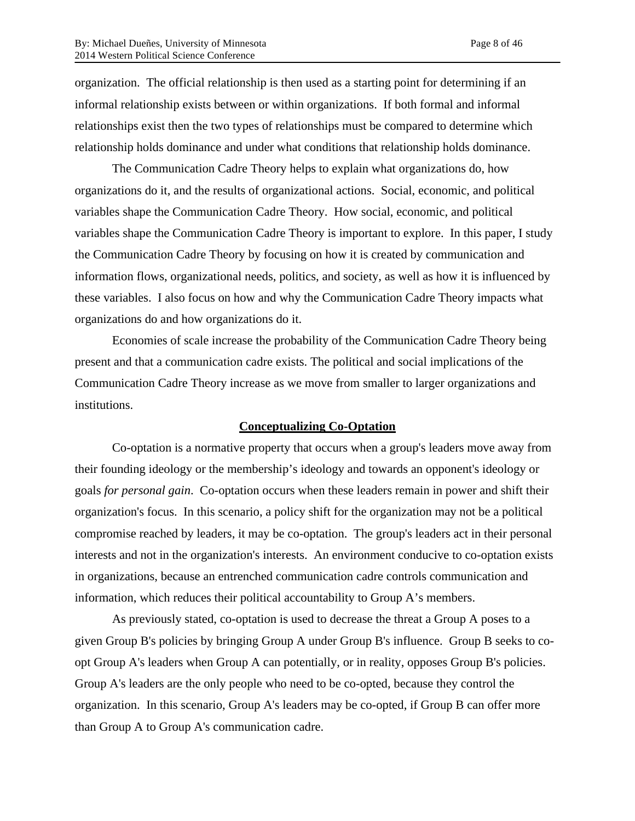organization. The official relationship is then used as a starting point for determining if an informal relationship exists between or within organizations. If both formal and informal relationships exist then the two types of relationships must be compared to determine which relationship holds dominance and under what conditions that relationship holds dominance.

The Communication Cadre Theory helps to explain what organizations do, how organizations do it, and the results of organizational actions. Social, economic, and political variables shape the Communication Cadre Theory. How social, economic, and political variables shape the Communication Cadre Theory is important to explore. In this paper, I study the Communication Cadre Theory by focusing on how it is created by communication and information flows, organizational needs, politics, and society, as well as how it is influenced by these variables. I also focus on how and why the Communication Cadre Theory impacts what organizations do and how organizations do it.

Economies of scale increase the probability of the Communication Cadre Theory being present and that a communication cadre exists. The political and social implications of the Communication Cadre Theory increase as we move from smaller to larger organizations and institutions.

#### **Conceptualizing Co-Optation**

Co-optation is a normative property that occurs when a group's leaders move away from their founding ideology or the membership's ideology and towards an opponent's ideology or goals *for personal gain*. Co-optation occurs when these leaders remain in power and shift their organization's focus. In this scenario, a policy shift for the organization may not be a political compromise reached by leaders, it may be co-optation. The group's leaders act in their personal interests and not in the organization's interests. An environment conducive to co-optation exists in organizations, because an entrenched communication cadre controls communication and information, which reduces their political accountability to Group A's members.

As previously stated, co-optation is used to decrease the threat a Group A poses to a given Group B's policies by bringing Group A under Group B's influence. Group B seeks to coopt Group A's leaders when Group A can potentially, or in reality, opposes Group B's policies. Group A's leaders are the only people who need to be co-opted, because they control the organization. In this scenario, Group A's leaders may be co-opted, if Group B can offer more than Group A to Group A's communication cadre.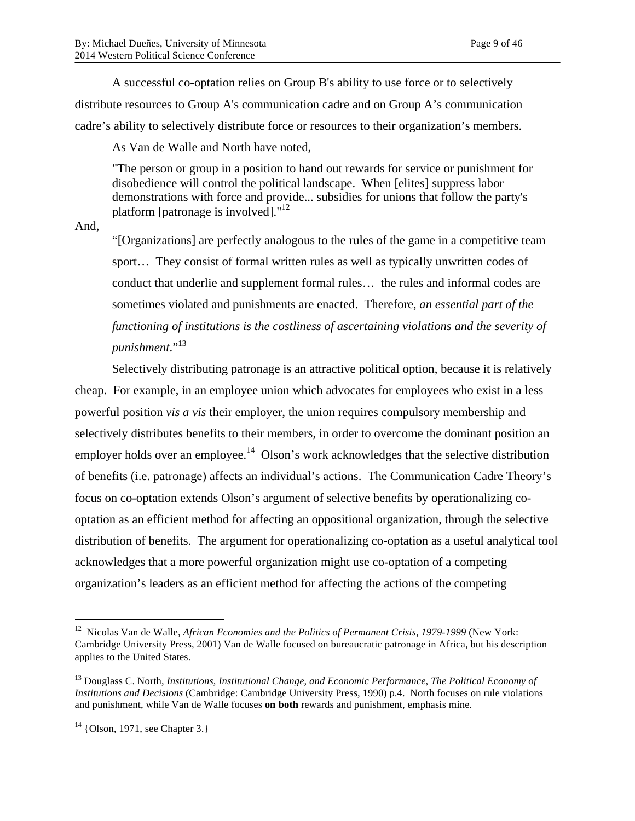A successful co-optation relies on Group B's ability to use force or to selectively distribute resources to Group A's communication cadre and on Group A's communication cadre's ability to selectively distribute force or resources to their organization's members.

As Van de Walle and North have noted,

"The person or group in a position to hand out rewards for service or punishment for disobedience will control the political landscape. When [elites] suppress labor demonstrations with force and provide... subsidies for unions that follow the party's platform [patronage is involved]."<sup>12</sup>

And,

"[Organizations] are perfectly analogous to the rules of the game in a competitive team sport… They consist of formal written rules as well as typically unwritten codes of conduct that underlie and supplement formal rules… the rules and informal codes are sometimes violated and punishments are enacted. Therefore, *an essential part of the functioning of institutions is the costliness of ascertaining violations and the severity of punishment*."13

Selectively distributing patronage is an attractive political option, because it is relatively cheap. For example, in an employee union which advocates for employees who exist in a less powerful position *vis a vis* their employer, the union requires compulsory membership and selectively distributes benefits to their members, in order to overcome the dominant position an employer holds over an employee.<sup>14</sup> Olson's work acknowledges that the selective distribution of benefits (i.e. patronage) affects an individual's actions. The Communication Cadre Theory's focus on co-optation extends Olson's argument of selective benefits by operationalizing cooptation as an efficient method for affecting an oppositional organization, through the selective distribution of benefits. The argument for operationalizing co-optation as a useful analytical tool acknowledges that a more powerful organization might use co-optation of a competing organization's leaders as an efficient method for affecting the actions of the competing

<sup>&</sup>lt;sup>12</sup> Nicolas Van de Walle, *African Economies and the Politics of Permanent Crisis, 1979-1999* (New York: Cambridge University Press, 2001) Van de Walle focused on bureaucratic patronage in Africa, but his description applies to the United States.

<sup>13</sup> Douglass C. North, *Institutions, Institutional Change, and Economic Performance*, *The Political Economy of Institutions and Decisions* (Cambridge: Cambridge University Press, 1990) p.4. North focuses on rule violations and punishment, while Van de Walle focuses **on both** rewards and punishment, emphasis mine.

 $14$  {Olson, 1971, see Chapter 3.}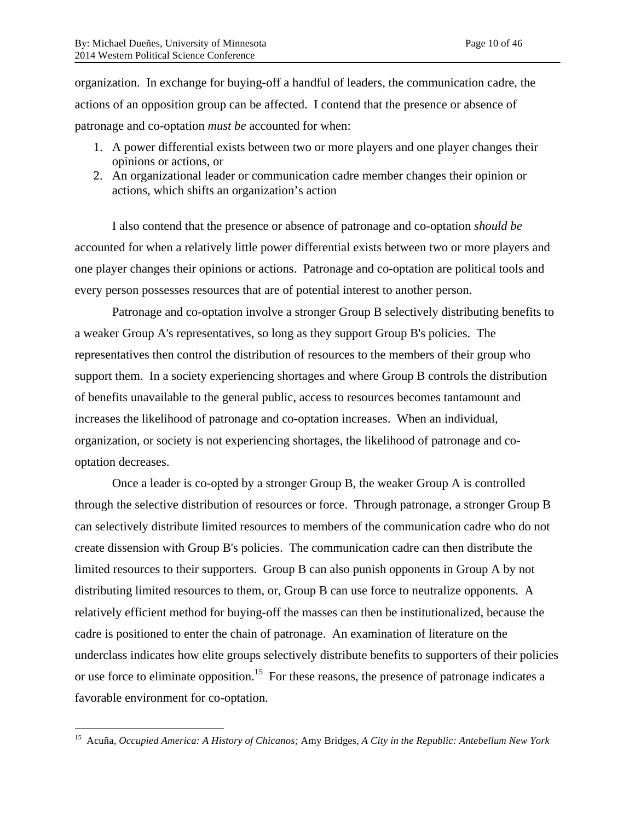organization. In exchange for buying-off a handful of leaders, the communication cadre, the actions of an opposition group can be affected. I contend that the presence or absence of patronage and co-optation *must be* accounted for when:

- 1. A power differential exists between two or more players and one player changes their opinions or actions, or
- 2. An organizational leader or communication cadre member changes their opinion or actions, which shifts an organization's action

I also contend that the presence or absence of patronage and co-optation *should be*  accounted for when a relatively little power differential exists between two or more players and one player changes their opinions or actions. Patronage and co-optation are political tools and every person possesses resources that are of potential interest to another person.

Patronage and co-optation involve a stronger Group B selectively distributing benefits to a weaker Group A's representatives, so long as they support Group B's policies. The representatives then control the distribution of resources to the members of their group who support them. In a society experiencing shortages and where Group B controls the distribution of benefits unavailable to the general public, access to resources becomes tantamount and increases the likelihood of patronage and co-optation increases. When an individual, organization, or society is not experiencing shortages, the likelihood of patronage and cooptation decreases.

Once a leader is co-opted by a stronger Group B, the weaker Group A is controlled through the selective distribution of resources or force. Through patronage, a stronger Group B can selectively distribute limited resources to members of the communication cadre who do not create dissension with Group B's policies. The communication cadre can then distribute the limited resources to their supporters. Group B can also punish opponents in Group A by not distributing limited resources to them, or, Group B can use force to neutralize opponents. A relatively efficient method for buying-off the masses can then be institutionalized, because the cadre is positioned to enter the chain of patronage. An examination of literature on the underclass indicates how elite groups selectively distribute benefits to supporters of their policies or use force to eliminate opposition.<sup>15</sup> For these reasons, the presence of patronage indicates a favorable environment for co-optation.

 <sup>15</sup> Acuña, *Occupied America: A History of Chicanos;* Amy Bridges, *A City in the Republic: Antebellum New York*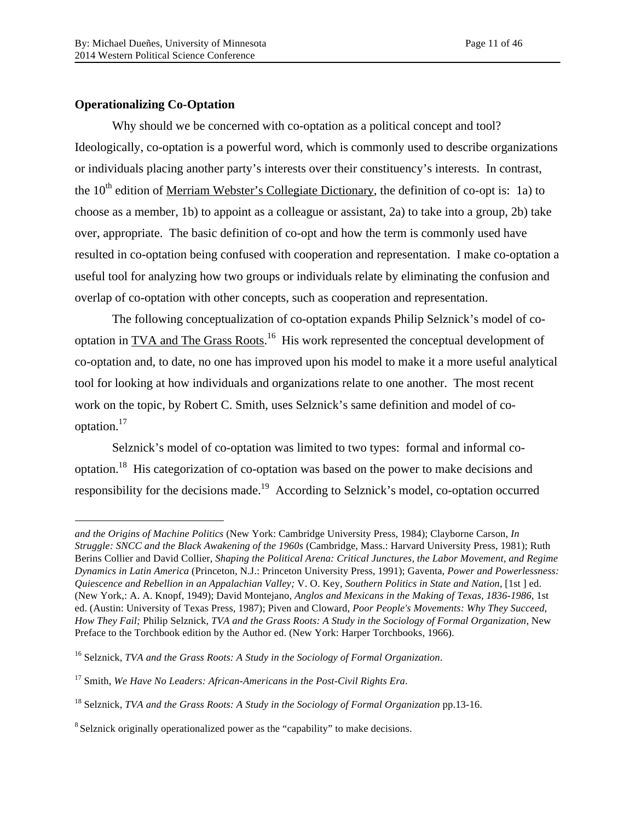## **Operationalizing Co-Optation**

 $\overline{a}$ 

Why should we be concerned with co-optation as a political concept and tool? Ideologically, co-optation is a powerful word, which is commonly used to describe organizations or individuals placing another party's interests over their constituency's interests. In contrast, the  $10<sup>th</sup>$  edition of Merriam Webster's Collegiate Dictionary, the definition of co-opt is: 1a) to choose as a member, 1b) to appoint as a colleague or assistant, 2a) to take into a group, 2b) take over, appropriate. The basic definition of co-opt and how the term is commonly used have resulted in co-optation being confused with cooperation and representation. I make co-optation a useful tool for analyzing how two groups or individuals relate by eliminating the confusion and overlap of co-optation with other concepts, such as cooperation and representation.

The following conceptualization of co-optation expands Philip Selznick's model of cooptation in TVA and The Grass Roots.<sup>16</sup> His work represented the conceptual development of co-optation and, to date, no one has improved upon his model to make it a more useful analytical tool for looking at how individuals and organizations relate to one another. The most recent work on the topic, by Robert C. Smith, uses Selznick's same definition and model of cooptation.17

Selznick's model of co-optation was limited to two types: formal and informal cooptation.18 His categorization of co-optation was based on the power to make decisions and responsibility for the decisions made.<sup>19</sup> According to Selznick's model, co-optation occurred

*and the Origins of Machine Politics* (New York: Cambridge University Press, 1984); Clayborne Carson, *In Struggle: SNCC and the Black Awakening of the 1960s* (Cambridge, Mass.: Harvard University Press, 1981); Ruth Berins Collier and David Collier, *Shaping the Political Arena: Critical Junctures, the Labor Movement, and Regime Dynamics in Latin America* (Princeton, N.J.: Princeton University Press, 1991); Gaventa, *Power and Powerlessness: Quiescence and Rebellion in an Appalachian Valley;* V. O. Key, *Southern Politics in State and Nation*, [1st ] ed. (New York,: A. A. Knopf, 1949); David Montejano, *Anglos and Mexicans in the Making of Texas, 1836-1986*, 1st ed. (Austin: University of Texas Press, 1987); Piven and Cloward, *Poor People's Movements: Why They Succeed, How They Fail;* Philip Selznick, *TVA and the Grass Roots: A Study in the Sociology of Formal Organization*, New Preface to the Torchbook edition by the Author ed. (New York: Harper Torchbooks, 1966).

<sup>16</sup> Selznick, *TVA and the Grass Roots: A Study in the Sociology of Formal Organization*.

<sup>17</sup> Smith, *We Have No Leaders: African-Americans in the Post-Civil Rights Era*.

<sup>18</sup> Selznick, *TVA and the Grass Roots: A Study in the Sociology of Formal Organization* pp.13-16.

<sup>&</sup>lt;sup>8</sup> Selznick originally operationalized power as the "capability" to make decisions.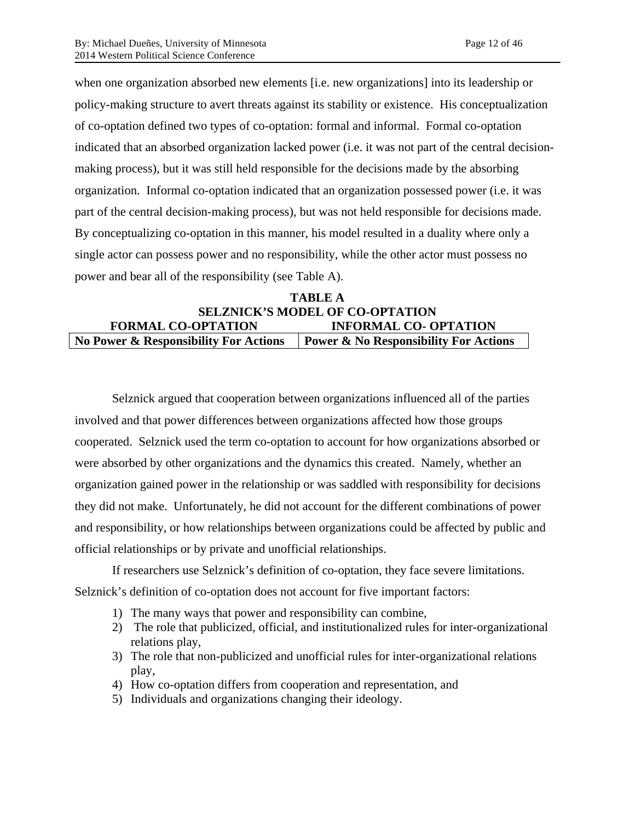when one organization absorbed new elements [i.e. new organizations] into its leadership or policy-making structure to avert threats against its stability or existence. His conceptualization of co-optation defined two types of co-optation: formal and informal. Formal co-optation indicated that an absorbed organization lacked power (i.e. it was not part of the central decisionmaking process), but it was still held responsible for the decisions made by the absorbing organization. Informal co-optation indicated that an organization possessed power (i.e. it was part of the central decision-making process), but was not held responsible for decisions made. By conceptualizing co-optation in this manner, his model resulted in a duality where only a single actor can possess power and no responsibility, while the other actor must possess no power and bear all of the responsibility (see Table A).

## **TABLE A SELZNICK'S MODEL OF CO-OPTATION FORMAL CO-OPTATION INFORMAL CO- OPTATION No Power & Responsibility For Actions Power & No Responsibility For Actions**

Selznick argued that cooperation between organizations influenced all of the parties involved and that power differences between organizations affected how those groups cooperated. Selznick used the term co-optation to account for how organizations absorbed or were absorbed by other organizations and the dynamics this created. Namely, whether an organization gained power in the relationship or was saddled with responsibility for decisions they did not make. Unfortunately, he did not account for the different combinations of power and responsibility, or how relationships between organizations could be affected by public and official relationships or by private and unofficial relationships.

If researchers use Selznick's definition of co-optation, they face severe limitations. Selznick's definition of co-optation does not account for five important factors:

- 1) The many ways that power and responsibility can combine,
- 2) The role that publicized, official, and institutionalized rules for inter-organizational relations play,
- 3) The role that non-publicized and unofficial rules for inter-organizational relations play,
- 4) How co-optation differs from cooperation and representation, and
- 5) Individuals and organizations changing their ideology.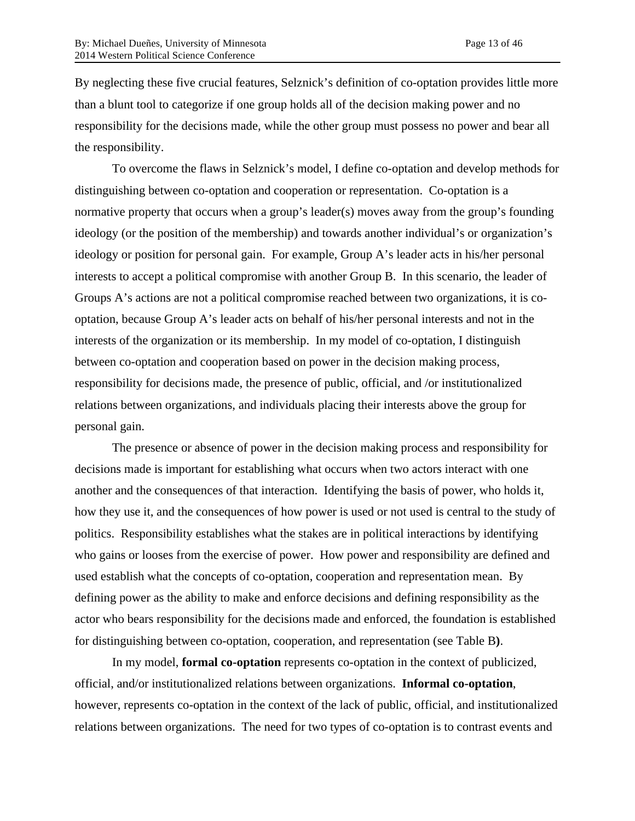By neglecting these five crucial features, Selznick's definition of co-optation provides little more than a blunt tool to categorize if one group holds all of the decision making power and no responsibility for the decisions made, while the other group must possess no power and bear all the responsibility.

To overcome the flaws in Selznick's model, I define co-optation and develop methods for distinguishing between co-optation and cooperation or representation. Co-optation is a normative property that occurs when a group's leader(s) moves away from the group's founding ideology (or the position of the membership) and towards another individual's or organization's ideology or position for personal gain. For example, Group A's leader acts in his/her personal interests to accept a political compromise with another Group B. In this scenario, the leader of Groups A's actions are not a political compromise reached between two organizations, it is cooptation, because Group A's leader acts on behalf of his/her personal interests and not in the interests of the organization or its membership. In my model of co-optation, I distinguish between co-optation and cooperation based on power in the decision making process, responsibility for decisions made, the presence of public, official, and /or institutionalized relations between organizations, and individuals placing their interests above the group for personal gain.

The presence or absence of power in the decision making process and responsibility for decisions made is important for establishing what occurs when two actors interact with one another and the consequences of that interaction. Identifying the basis of power, who holds it, how they use it, and the consequences of how power is used or not used is central to the study of politics. Responsibility establishes what the stakes are in political interactions by identifying who gains or looses from the exercise of power. How power and responsibility are defined and used establish what the concepts of co-optation, cooperation and representation mean. By defining power as the ability to make and enforce decisions and defining responsibility as the actor who bears responsibility for the decisions made and enforced, the foundation is established for distinguishing between co-optation, cooperation, and representation (see Table B**)**.

In my model, **formal co-optation** represents co-optation in the context of publicized, official, and/or institutionalized relations between organizations. **Informal co-optation**, however, represents co-optation in the context of the lack of public, official, and institutionalized relations between organizations. The need for two types of co-optation is to contrast events and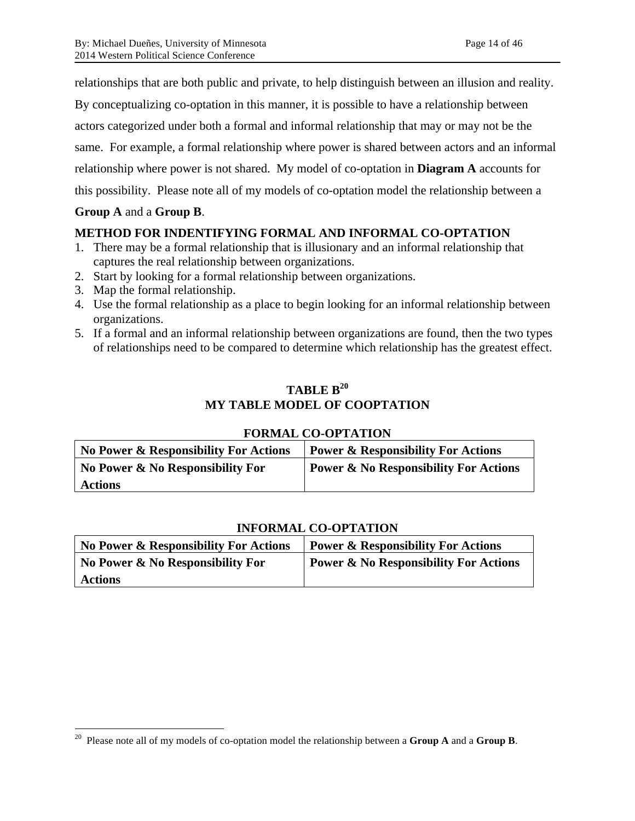relationships that are both public and private, to help distinguish between an illusion and reality.

By conceptualizing co-optation in this manner, it is possible to have a relationship between

actors categorized under both a formal and informal relationship that may or may not be the

same. For example, a formal relationship where power is shared between actors and an informal

relationship where power is not shared. My model of co-optation in **Diagram A** accounts for

this possibility. Please note all of my models of co-optation model the relationship between a

## **Group A** and a **Group B**.

## **METHOD FOR INDENTIFYING FORMAL AND INFORMAL CO-OPTATION**

- 1. There may be a formal relationship that is illusionary and an informal relationship that captures the real relationship between organizations.
- 2. Start by looking for a formal relationship between organizations.
- 3. Map the formal relationship.
- 4. Use the formal relationship as a place to begin looking for an informal relationship between organizations.
- 5. If a formal and an informal relationship between organizations are found, then the two types of relationships need to be compared to determine which relationship has the greatest effect.

# **TABLE B20 MY TABLE MODEL OF COOPTATION**

| <b>FORMAL CO-OPTATION</b> |  |
|---------------------------|--|
|---------------------------|--|

| No Power & Responsibility For Actions | Power & Responsibility For Actions               |
|---------------------------------------|--------------------------------------------------|
| No Power & No Responsibility For      | <b>Power &amp; No Responsibility For Actions</b> |
| <b>Actions</b>                        |                                                  |

## **INFORMAL CO-OPTATION**

| <b>No Power &amp; Responsibility For Actions</b> | <b>Power &amp; Responsibility For Actions</b>    |
|--------------------------------------------------|--------------------------------------------------|
| No Power & No Responsibility For                 | <b>Power &amp; No Responsibility For Actions</b> |
| <b>Actions</b>                                   |                                                  |

 <sup>20</sup> Please note all of my models of co-optation model the relationship between a **Group A** and a **Group B**.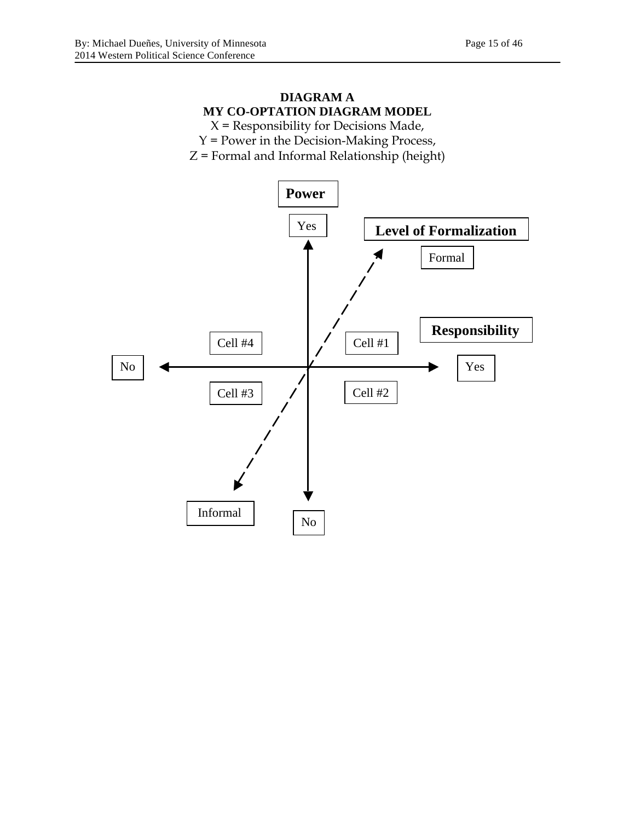# **DIAGRAM A MY CO-OPTATION DIAGRAM MODEL**

 $X$  = Responsibility for Decisions Made, Y = Power in the Decision-Making Process, Z = Formal and Informal Relationship (height)

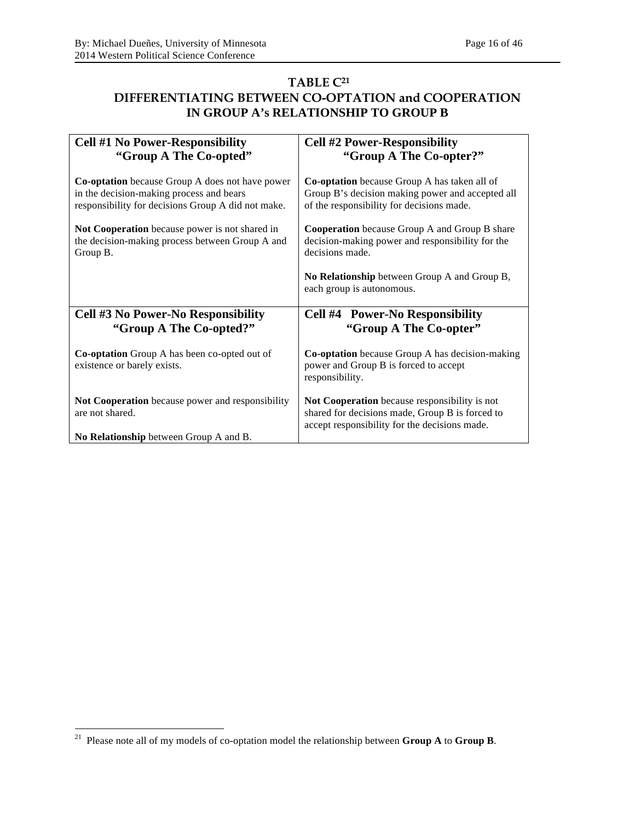# **TABLE C21 DIFFERENTIATING BETWEEN CO-OPTATION and COOPERATION IN GROUP A's RELATIONSHIP TO GROUP B**

| <b>Cell #1 No Power-Responsibility</b>                                                                                                                   | <b>Cell #2 Power-Responsibility</b>                                                                                                                  |
|----------------------------------------------------------------------------------------------------------------------------------------------------------|------------------------------------------------------------------------------------------------------------------------------------------------------|
| "Group A The Co-opted"                                                                                                                                   | "Group A The Co-opter?"                                                                                                                              |
| <b>Co-optation</b> because Group A does not have power<br>in the decision-making process and bears<br>responsibility for decisions Group A did not make. | <b>Co-optation</b> because Group A has taken all of<br>Group B's decision making power and accepted all<br>of the responsibility for decisions made. |
| Not Cooperation because power is not shared in<br>the decision-making process between Group A and<br>Group B.                                            | <b>Cooperation</b> because Group A and Group B share<br>decision-making power and responsibility for the<br>decisions made.                          |
|                                                                                                                                                          | No Relationship between Group A and Group B,<br>each group is autonomous.                                                                            |
| Cell #3 No Power-No Responsibility<br>"Group A The Co-opted?"                                                                                            | <b>Cell #4 Power-No Responsibility</b><br>"Group A The Co-opter"                                                                                     |
| <b>Co-optation</b> Group A has been co-opted out of<br>existence or barely exists.                                                                       | <b>Co-optation</b> because Group A has decision-making<br>power and Group B is forced to accept<br>responsibility.                                   |
| Not Cooperation because power and responsibility<br>are not shared.                                                                                      | Not Cooperation because responsibility is not<br>shared for decisions made, Group B is forced to<br>accept responsibility for the decisions made.    |
| No Relationship between Group A and B.                                                                                                                   |                                                                                                                                                      |

 <sup>21</sup> Please note all of my models of co-optation model the relationship between **Group A** to **Group B**.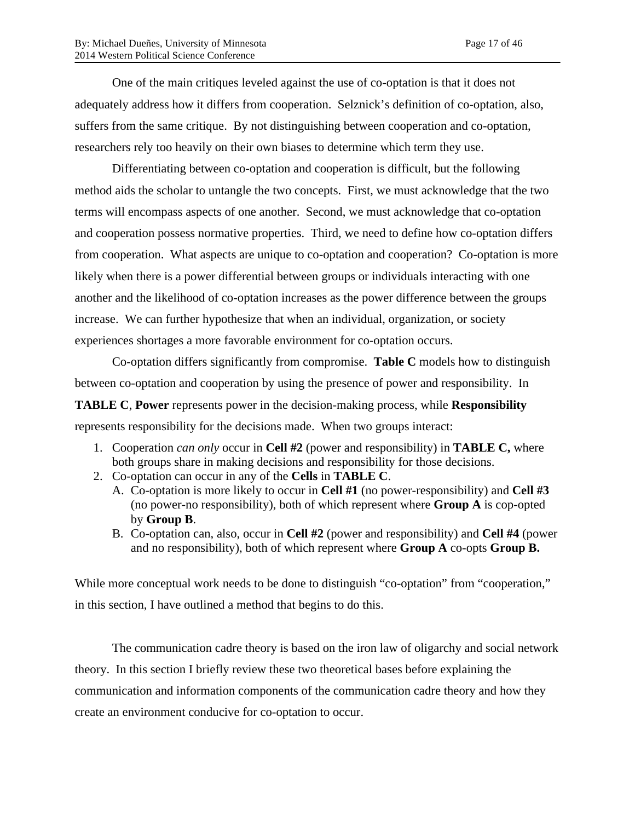One of the main critiques leveled against the use of co-optation is that it does not adequately address how it differs from cooperation. Selznick's definition of co-optation, also, suffers from the same critique. By not distinguishing between cooperation and co-optation, researchers rely too heavily on their own biases to determine which term they use.

Differentiating between co-optation and cooperation is difficult, but the following method aids the scholar to untangle the two concepts. First, we must acknowledge that the two terms will encompass aspects of one another. Second, we must acknowledge that co-optation and cooperation possess normative properties. Third, we need to define how co-optation differs from cooperation. What aspects are unique to co-optation and cooperation? Co-optation is more likely when there is a power differential between groups or individuals interacting with one another and the likelihood of co-optation increases as the power difference between the groups increase. We can further hypothesize that when an individual, organization, or society experiences shortages a more favorable environment for co-optation occurs.

Co-optation differs significantly from compromise. **Table C** models how to distinguish between co-optation and cooperation by using the presence of power and responsibility. In **TABLE C**, **Power** represents power in the decision-making process, while **Responsibility**

represents responsibility for the decisions made. When two groups interact:

- 1. Cooperation *can only* occur in **Cell #2** (power and responsibility) in **TABLE C,** where both groups share in making decisions and responsibility for those decisions.
- 2. Co-optation can occur in any of the **Cells** in **TABLE C**.
	- A. Co-optation is more likely to occur in **Cell #1** (no power-responsibility) and **Cell #3** (no power-no responsibility), both of which represent where **Group A** is cop-opted by **Group B**.
	- B. Co-optation can, also, occur in **Cell #2** (power and responsibility) and **Cell #4** (power and no responsibility), both of which represent where **Group A** co-opts **Group B.**

While more conceptual work needs to be done to distinguish "co-optation" from "cooperation," in this section, I have outlined a method that begins to do this.

The communication cadre theory is based on the iron law of oligarchy and social network theory. In this section I briefly review these two theoretical bases before explaining the communication and information components of the communication cadre theory and how they create an environment conducive for co-optation to occur.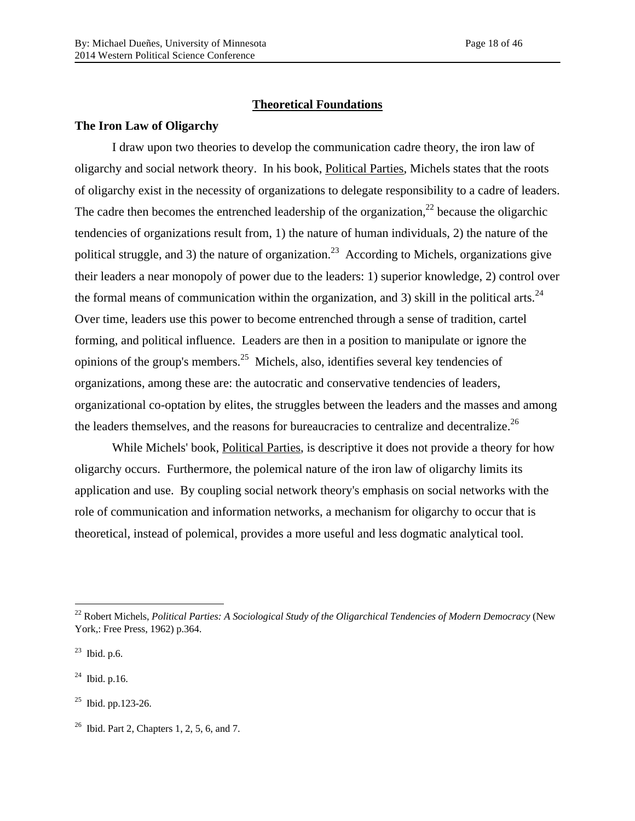#### **Theoretical Foundations**

#### **The Iron Law of Oligarchy**

I draw upon two theories to develop the communication cadre theory, the iron law of oligarchy and social network theory. In his book, Political Parties, Michels states that the roots of oligarchy exist in the necessity of organizations to delegate responsibility to a cadre of leaders. The cadre then becomes the entrenched leadership of the organization,<sup>22</sup> because the oligarchic tendencies of organizations result from, 1) the nature of human individuals, 2) the nature of the political struggle, and 3) the nature of organization.<sup>23</sup> According to Michels, organizations give their leaders a near monopoly of power due to the leaders: 1) superior knowledge, 2) control over the formal means of communication within the organization, and 3) skill in the political arts.<sup>24</sup> Over time, leaders use this power to become entrenched through a sense of tradition, cartel forming, and political influence. Leaders are then in a position to manipulate or ignore the opinions of the group's members.<sup>25</sup> Michels, also, identifies several key tendencies of organizations, among these are: the autocratic and conservative tendencies of leaders, organizational co-optation by elites, the struggles between the leaders and the masses and among the leaders themselves, and the reasons for bureaucracies to centralize and decentralize.<sup>26</sup>

While Michels' book, Political Parties, is descriptive it does not provide a theory for how oligarchy occurs. Furthermore, the polemical nature of the iron law of oligarchy limits its application and use. By coupling social network theory's emphasis on social networks with the role of communication and information networks, a mechanism for oligarchy to occur that is theoretical, instead of polemical, provides a more useful and less dogmatic analytical tool.

 <sup>22</sup> Robert Michels, *Political Parties: A Sociological Study of the Oligarchical Tendencies of Modern Democracy* (New York,: Free Press, 1962) p.364.

 $^{23}$  Ibid. p.6.

 $^{24}$  Ibid. p.16.

 $^{25}$  Ibid. pp. 123-26.

 $26$  Ibid. Part 2, Chapters 1, 2, 5, 6, and 7.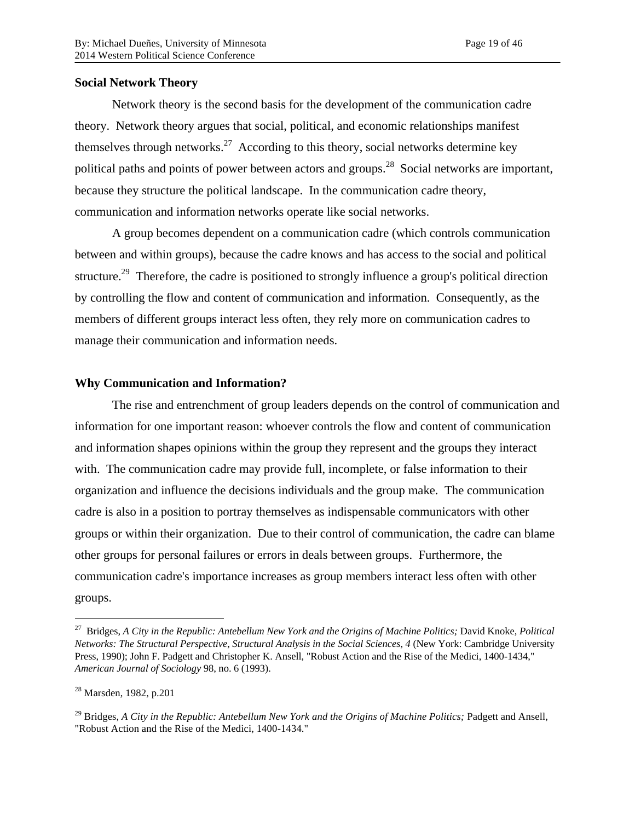### **Social Network Theory**

Network theory is the second basis for the development of the communication cadre theory. Network theory argues that social, political, and economic relationships manifest themselves through networks.<sup>27</sup> According to this theory, social networks determine key political paths and points of power between actors and groups.<sup>28</sup> Social networks are important, because they structure the political landscape. In the communication cadre theory, communication and information networks operate like social networks.

A group becomes dependent on a communication cadre (which controls communication between and within groups), because the cadre knows and has access to the social and political structure.<sup>29</sup> Therefore, the cadre is positioned to strongly influence a group's political direction by controlling the flow and content of communication and information. Consequently, as the members of different groups interact less often, they rely more on communication cadres to manage their communication and information needs.

### **Why Communication and Information?**

The rise and entrenchment of group leaders depends on the control of communication and information for one important reason: whoever controls the flow and content of communication and information shapes opinions within the group they represent and the groups they interact with. The communication cadre may provide full, incomplete, or false information to their organization and influence the decisions individuals and the group make. The communication cadre is also in a position to portray themselves as indispensable communicators with other groups or within their organization. Due to their control of communication, the cadre can blame other groups for personal failures or errors in deals between groups. Furthermore, the communication cadre's importance increases as group members interact less often with other groups.

 <sup>27</sup> Bridges, *A City in the Republic: Antebellum New York and the Origins of Machine Politics;* David Knoke, *Political Networks: The Structural Perspective*, *Structural Analysis in the Social Sciences, 4* (New York: Cambridge University Press, 1990); John F. Padgett and Christopher K. Ansell, "Robust Action and the Rise of the Medici, 1400-1434," *American Journal of Sociology* 98, no. 6 (1993).

<sup>28</sup> Marsden, 1982, p.201

<sup>&</sup>lt;sup>29</sup> Bridges, *A City in the Republic: Antebellum New York and the Origins of Machine Politics; Padgett and Ansell,* "Robust Action and the Rise of the Medici, 1400-1434."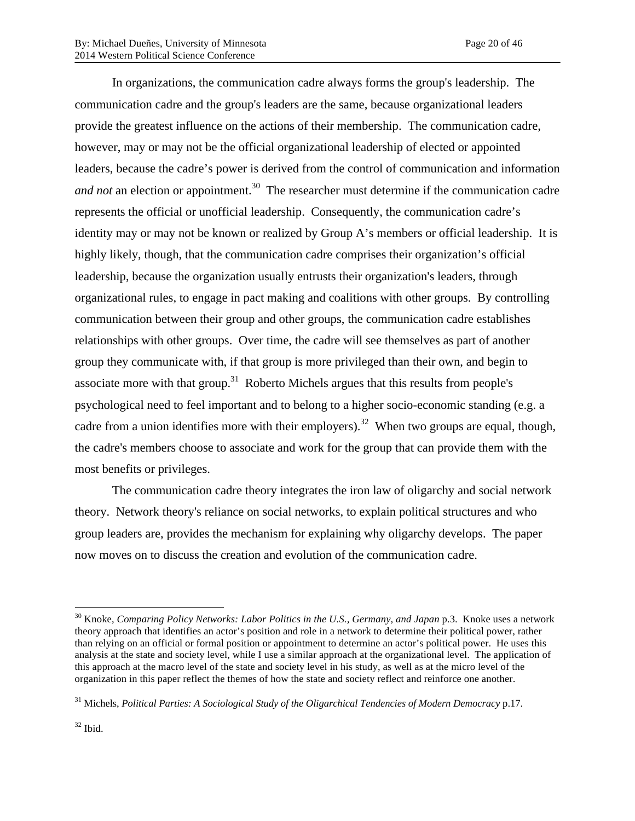In organizations, the communication cadre always forms the group's leadership. The communication cadre and the group's leaders are the same, because organizational leaders provide the greatest influence on the actions of their membership. The communication cadre, however, may or may not be the official organizational leadership of elected or appointed leaders, because the cadre's power is derived from the control of communication and information *and not* an election or appointment. 30 The researcher must determine if the communication cadre represents the official or unofficial leadership. Consequently, the communication cadre's identity may or may not be known or realized by Group A's members or official leadership. It is highly likely, though, that the communication cadre comprises their organization's official leadership, because the organization usually entrusts their organization's leaders, through organizational rules, to engage in pact making and coalitions with other groups. By controlling communication between their group and other groups, the communication cadre establishes relationships with other groups. Over time, the cadre will see themselves as part of another group they communicate with, if that group is more privileged than their own, and begin to associate more with that group.<sup>31</sup> Roberto Michels argues that this results from people's psychological need to feel important and to belong to a higher socio-economic standing (e.g. a cadre from a union identifies more with their employers).<sup>32</sup> When two groups are equal, though, the cadre's members choose to associate and work for the group that can provide them with the most benefits or privileges.

The communication cadre theory integrates the iron law of oligarchy and social network theory. Network theory's reliance on social networks, to explain political structures and who group leaders are, provides the mechanism for explaining why oligarchy develops. The paper now moves on to discuss the creation and evolution of the communication cadre.

 <sup>30</sup> Knoke, *Comparing Policy Networks: Labor Politics in the U.S., Germany, and Japan* p.3. Knoke uses a network theory approach that identifies an actor's position and role in a network to determine their political power, rather than relying on an official or formal position or appointment to determine an actor's political power. He uses this analysis at the state and society level, while I use a similar approach at the organizational level. The application of this approach at the macro level of the state and society level in his study, as well as at the micro level of the organization in this paper reflect the themes of how the state and society reflect and reinforce one another.

<sup>31</sup> Michels, *Political Parties: A Sociological Study of the Oligarchical Tendencies of Modern Democracy* p.17.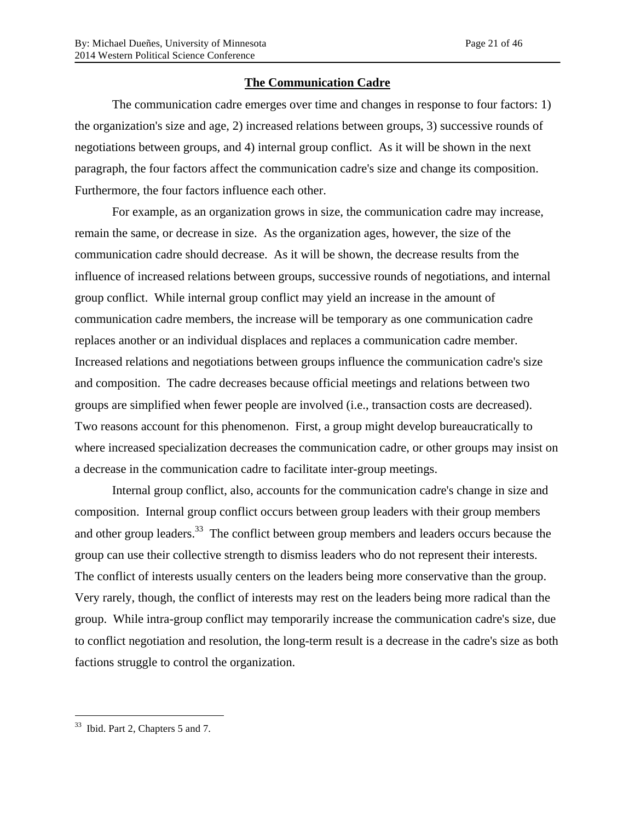## **The Communication Cadre**

The communication cadre emerges over time and changes in response to four factors: 1) the organization's size and age, 2) increased relations between groups, 3) successive rounds of negotiations between groups, and 4) internal group conflict. As it will be shown in the next paragraph, the four factors affect the communication cadre's size and change its composition. Furthermore, the four factors influence each other.

For example, as an organization grows in size, the communication cadre may increase, remain the same, or decrease in size. As the organization ages, however, the size of the communication cadre should decrease. As it will be shown, the decrease results from the influence of increased relations between groups, successive rounds of negotiations, and internal group conflict. While internal group conflict may yield an increase in the amount of communication cadre members, the increase will be temporary as one communication cadre replaces another or an individual displaces and replaces a communication cadre member. Increased relations and negotiations between groups influence the communication cadre's size and composition. The cadre decreases because official meetings and relations between two groups are simplified when fewer people are involved (i.e., transaction costs are decreased). Two reasons account for this phenomenon. First, a group might develop bureaucratically to where increased specialization decreases the communication cadre, or other groups may insist on a decrease in the communication cadre to facilitate inter-group meetings.

Internal group conflict, also, accounts for the communication cadre's change in size and composition. Internal group conflict occurs between group leaders with their group members and other group leaders.<sup>33</sup> The conflict between group members and leaders occurs because the group can use their collective strength to dismiss leaders who do not represent their interests. The conflict of interests usually centers on the leaders being more conservative than the group. Very rarely, though, the conflict of interests may rest on the leaders being more radical than the group. While intra-group conflict may temporarily increase the communication cadre's size, due to conflict negotiation and resolution, the long-term result is a decrease in the cadre's size as both factions struggle to control the organization.

 <sup>33</sup> Ibid. Part 2, Chapters 5 and 7.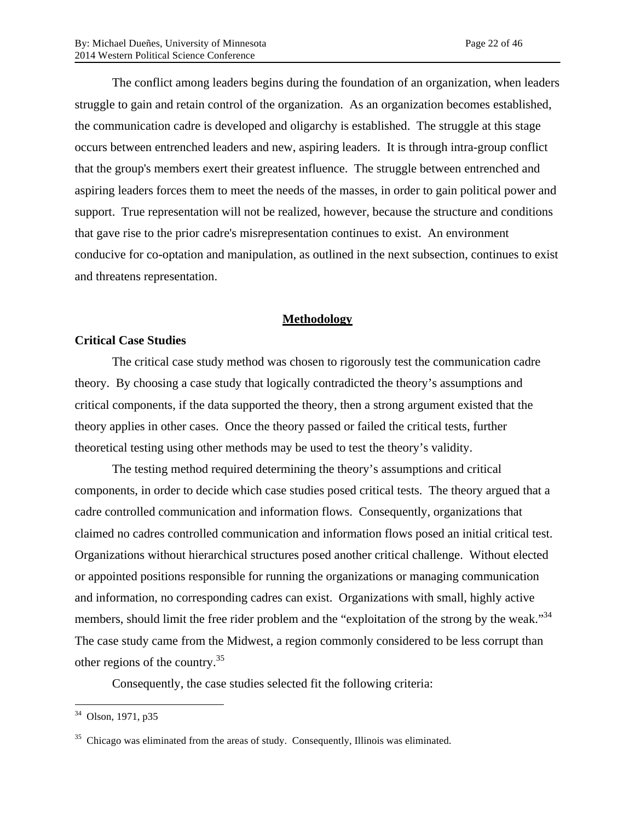The conflict among leaders begins during the foundation of an organization, when leaders struggle to gain and retain control of the organization. As an organization becomes established, the communication cadre is developed and oligarchy is established. The struggle at this stage occurs between entrenched leaders and new, aspiring leaders. It is through intra-group conflict that the group's members exert their greatest influence. The struggle between entrenched and aspiring leaders forces them to meet the needs of the masses, in order to gain political power and support. True representation will not be realized, however, because the structure and conditions that gave rise to the prior cadre's misrepresentation continues to exist. An environment conducive for co-optation and manipulation, as outlined in the next subsection, continues to exist and threatens representation.

#### **Methodology**

#### **Critical Case Studies**

The critical case study method was chosen to rigorously test the communication cadre theory. By choosing a case study that logically contradicted the theory's assumptions and critical components, if the data supported the theory, then a strong argument existed that the theory applies in other cases. Once the theory passed or failed the critical tests, further theoretical testing using other methods may be used to test the theory's validity.

The testing method required determining the theory's assumptions and critical components, in order to decide which case studies posed critical tests. The theory argued that a cadre controlled communication and information flows. Consequently, organizations that claimed no cadres controlled communication and information flows posed an initial critical test. Organizations without hierarchical structures posed another critical challenge. Without elected or appointed positions responsible for running the organizations or managing communication and information, no corresponding cadres can exist. Organizations with small, highly active members, should limit the free rider problem and the "exploitation of the strong by the weak."<sup>34</sup> The case study came from the Midwest, a region commonly considered to be less corrupt than other regions of the country.<sup>35</sup>

Consequently, the case studies selected fit the following criteria:

 <sup>34</sup> Olson, 1971, p35

 $35$  Chicago was eliminated from the areas of study. Consequently, Illinois was eliminated.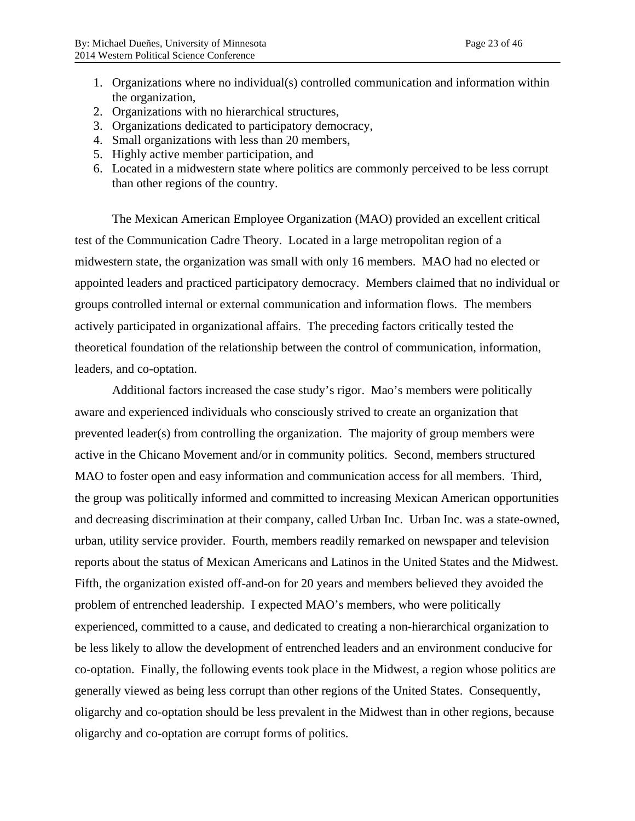- 1. Organizations where no individual(s) controlled communication and information within the organization,
- 2. Organizations with no hierarchical structures,
- 3. Organizations dedicated to participatory democracy,
- 4. Small organizations with less than 20 members,
- 5. Highly active member participation, and
- 6. Located in a midwestern state where politics are commonly perceived to be less corrupt than other regions of the country.

The Mexican American Employee Organization (MAO) provided an excellent critical test of the Communication Cadre Theory. Located in a large metropolitan region of a midwestern state, the organization was small with only 16 members. MAO had no elected or appointed leaders and practiced participatory democracy. Members claimed that no individual or groups controlled internal or external communication and information flows. The members actively participated in organizational affairs. The preceding factors critically tested the theoretical foundation of the relationship between the control of communication, information, leaders, and co-optation.

Additional factors increased the case study's rigor. Mao's members were politically aware and experienced individuals who consciously strived to create an organization that prevented leader(s) from controlling the organization. The majority of group members were active in the Chicano Movement and/or in community politics. Second, members structured MAO to foster open and easy information and communication access for all members. Third, the group was politically informed and committed to increasing Mexican American opportunities and decreasing discrimination at their company, called Urban Inc. Urban Inc. was a state-owned, urban, utility service provider. Fourth, members readily remarked on newspaper and television reports about the status of Mexican Americans and Latinos in the United States and the Midwest. Fifth, the organization existed off-and-on for 20 years and members believed they avoided the problem of entrenched leadership. I expected MAO's members, who were politically experienced, committed to a cause, and dedicated to creating a non-hierarchical organization to be less likely to allow the development of entrenched leaders and an environment conducive for co-optation. Finally, the following events took place in the Midwest, a region whose politics are generally viewed as being less corrupt than other regions of the United States. Consequently, oligarchy and co-optation should be less prevalent in the Midwest than in other regions, because oligarchy and co-optation are corrupt forms of politics.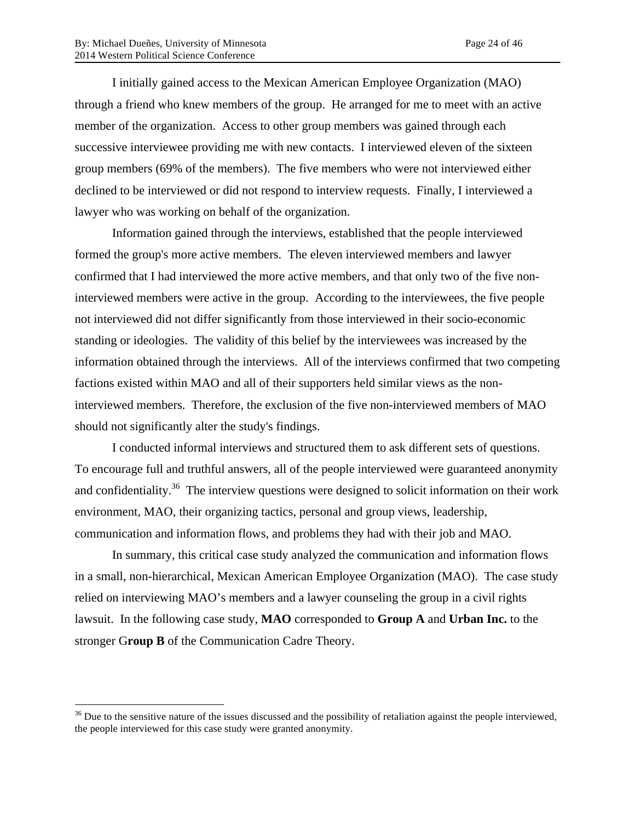I initially gained access to the Mexican American Employee Organization (MAO) through a friend who knew members of the group. He arranged for me to meet with an active member of the organization. Access to other group members was gained through each successive interviewee providing me with new contacts. I interviewed eleven of the sixteen group members (69% of the members). The five members who were not interviewed either declined to be interviewed or did not respond to interview requests. Finally, I interviewed a lawyer who was working on behalf of the organization.

Information gained through the interviews, established that the people interviewed formed the group's more active members. The eleven interviewed members and lawyer confirmed that I had interviewed the more active members, and that only two of the five noninterviewed members were active in the group. According to the interviewees, the five people not interviewed did not differ significantly from those interviewed in their socio-economic standing or ideologies. The validity of this belief by the interviewees was increased by the information obtained through the interviews. All of the interviews confirmed that two competing factions existed within MAO and all of their supporters held similar views as the noninterviewed members. Therefore, the exclusion of the five non-interviewed members of MAO should not significantly alter the study's findings.

I conducted informal interviews and structured them to ask different sets of questions. To encourage full and truthful answers, all of the people interviewed were guaranteed anonymity and confidentiality.<sup>36</sup> The interview questions were designed to solicit information on their work environment, MAO, their organizing tactics, personal and group views, leadership, communication and information flows, and problems they had with their job and MAO.

In summary, this critical case study analyzed the communication and information flows in a small, non-hierarchical, Mexican American Employee Organization (MAO). The case study relied on interviewing MAO's members and a lawyer counseling the group in a civil rights lawsuit. In the following case study, **MAO** corresponded to **Group A** and **Urban Inc.** to the stronger G**roup B** of the Communication Cadre Theory.

 $36$  Due to the sensitive nature of the issues discussed and the possibility of retaliation against the people interviewed, the people interviewed for this case study were granted anonymity.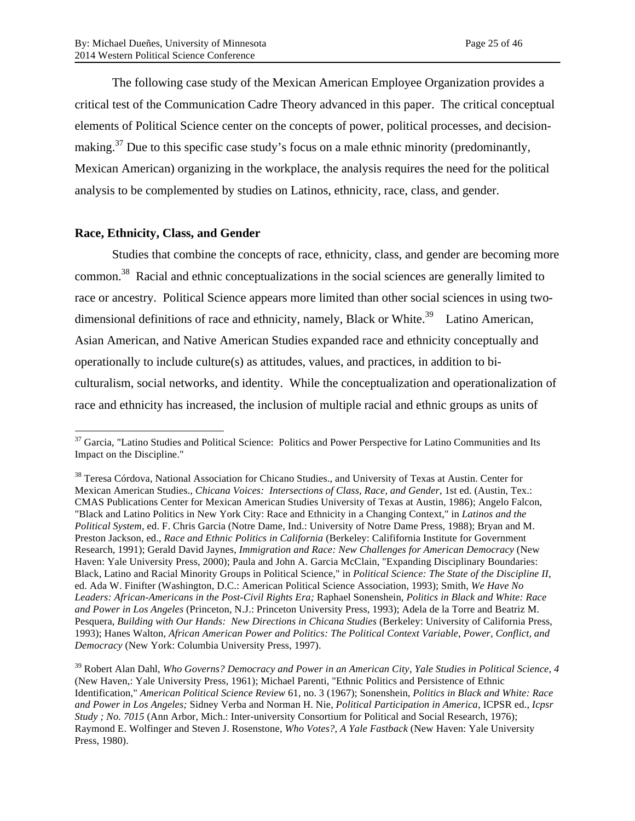The following case study of the Mexican American Employee Organization provides a critical test of the Communication Cadre Theory advanced in this paper. The critical conceptual elements of Political Science center on the concepts of power, political processes, and decisionmaking.<sup>37</sup> Due to this specific case study's focus on a male ethnic minority (predominantly, Mexican American) organizing in the workplace, the analysis requires the need for the political analysis to be complemented by studies on Latinos, ethnicity, race, class, and gender.

### **Race, Ethnicity, Class, and Gender**

Studies that combine the concepts of race, ethnicity, class, and gender are becoming more common.38 Racial and ethnic conceptualizations in the social sciences are generally limited to race or ancestry. Political Science appears more limited than other social sciences in using twodimensional definitions of race and ethnicity, namely, Black or White.<sup>39</sup> Latino American, Asian American, and Native American Studies expanded race and ethnicity conceptually and operationally to include culture(s) as attitudes, values, and practices, in addition to biculturalism, social networks, and identity. While the conceptualization and operationalization of race and ethnicity has increased, the inclusion of multiple racial and ethnic groups as units of

<sup>&</sup>lt;sup>37</sup> Garcia, "Latino Studies and Political Science: Politics and Power Perspective for Latino Communities and Its Impact on the Discipline."

<sup>&</sup>lt;sup>38</sup> Teresa Córdova, National Association for Chicano Studies., and University of Texas at Austin. Center for Mexican American Studies., *Chicana Voices: Intersections of Class, Race, and Gender*, 1st ed. (Austin, Tex.: CMAS Publications Center for Mexican American Studies University of Texas at Austin, 1986); Angelo Falcon, "Black and Latino Politics in New York City: Race and Ethnicity in a Changing Context," in *Latinos and the Political System*, ed. F. Chris Garcia (Notre Dame, Ind.: University of Notre Dame Press, 1988); Bryan and M. Preston Jackson, ed., *Race and Ethnic Politics in California* (Berkeley: Calififornia Institute for Government Research, 1991); Gerald David Jaynes, *Immigration and Race: New Challenges for American Democracy* (New Haven: Yale University Press, 2000); Paula and John A. Garcia McClain, "Expanding Disciplinary Boundaries: Black, Latino and Racial Minority Groups in Political Science," in *Political Science: The State of the Discipline II*, ed. Ada W. Finifter (Washington, D.C.: American Political Science Association, 1993); Smith, *We Have No Leaders: African-Americans in the Post-Civil Rights Era;* Raphael Sonenshein, *Politics in Black and White: Race and Power in Los Angeles* (Princeton, N.J.: Princeton University Press, 1993); Adela de la Torre and Beatriz M. Pesquera, *Building with Our Hands: New Directions in Chicana Studies* (Berkeley: University of California Press, 1993); Hanes Walton, *African American Power and Politics: The Political Context Variable*, *Power, Conflict, and Democracy* (New York: Columbia University Press, 1997).

<sup>39</sup> Robert Alan Dahl, *Who Governs? Democracy and Power in an American City*, *Yale Studies in Political Science, 4* (New Haven,: Yale University Press, 1961); Michael Parenti, "Ethnic Politics and Persistence of Ethnic Identification," *American Political Science Review* 61, no. 3 (1967); Sonenshein, *Politics in Black and White: Race and Power in Los Angeles;* Sidney Verba and Norman H. Nie, *Political Participation in America*, ICPSR ed., *Icpsr Study ; No. 7015* (Ann Arbor, Mich.: Inter-university Consortium for Political and Social Research, 1976); Raymond E. Wolfinger and Steven J. Rosenstone, *Who Votes?*, *A Yale Fastback* (New Haven: Yale University Press, 1980).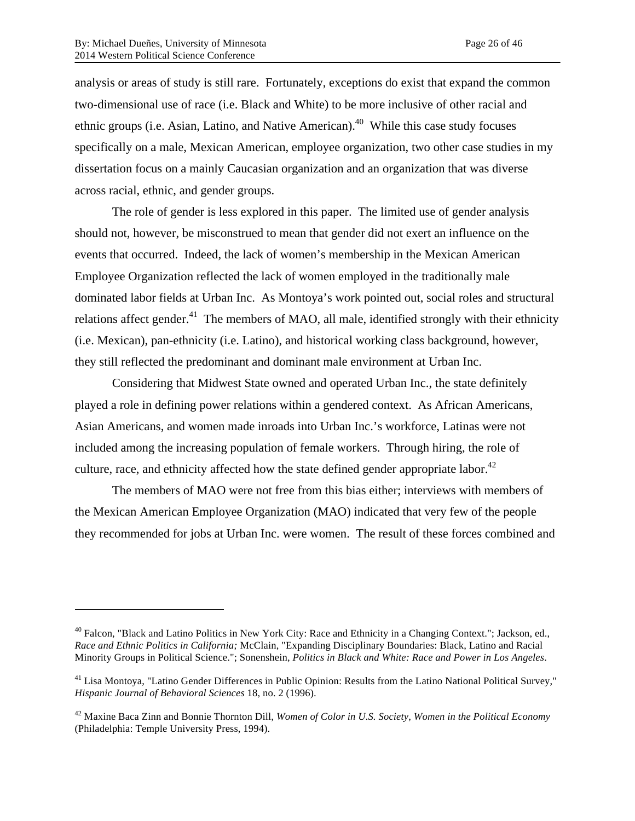$\overline{a}$ 

analysis or areas of study is still rare. Fortunately, exceptions do exist that expand the common two-dimensional use of race (i.e. Black and White) to be more inclusive of other racial and ethnic groups (i.e. Asian, Latino, and Native American).<sup>40</sup> While this case study focuses specifically on a male, Mexican American, employee organization, two other case studies in my dissertation focus on a mainly Caucasian organization and an organization that was diverse across racial, ethnic, and gender groups.

The role of gender is less explored in this paper. The limited use of gender analysis should not, however, be misconstrued to mean that gender did not exert an influence on the events that occurred. Indeed, the lack of women's membership in the Mexican American Employee Organization reflected the lack of women employed in the traditionally male dominated labor fields at Urban Inc. As Montoya's work pointed out, social roles and structural relations affect gender.<sup>41</sup> The members of MAO, all male, identified strongly with their ethnicity (i.e. Mexican), pan-ethnicity (i.e. Latino), and historical working class background, however, they still reflected the predominant and dominant male environment at Urban Inc.

Considering that Midwest State owned and operated Urban Inc., the state definitely played a role in defining power relations within a gendered context. As African Americans, Asian Americans, and women made inroads into Urban Inc.'s workforce, Latinas were not included among the increasing population of female workers. Through hiring, the role of culture, race, and ethnicity affected how the state defined gender appropriate labor.<sup>42</sup>

The members of MAO were not free from this bias either; interviews with members of the Mexican American Employee Organization (MAO) indicated that very few of the people they recommended for jobs at Urban Inc. were women. The result of these forces combined and

<sup>&</sup>lt;sup>40</sup> Falcon, "Black and Latino Politics in New York City: Race and Ethnicity in a Changing Context."; Jackson, ed., *Race and Ethnic Politics in California;* McClain, "Expanding Disciplinary Boundaries: Black, Latino and Racial Minority Groups in Political Science."; Sonenshein, *Politics in Black and White: Race and Power in Los Angeles*.

<sup>&</sup>lt;sup>41</sup> Lisa Montoya, "Latino Gender Differences in Public Opinion: Results from the Latino National Political Survey," *Hispanic Journal of Behavioral Sciences* 18, no. 2 (1996).

<sup>42</sup> Maxine Baca Zinn and Bonnie Thornton Dill, *Women of Color in U.S. Society*, *Women in the Political Economy* (Philadelphia: Temple University Press, 1994).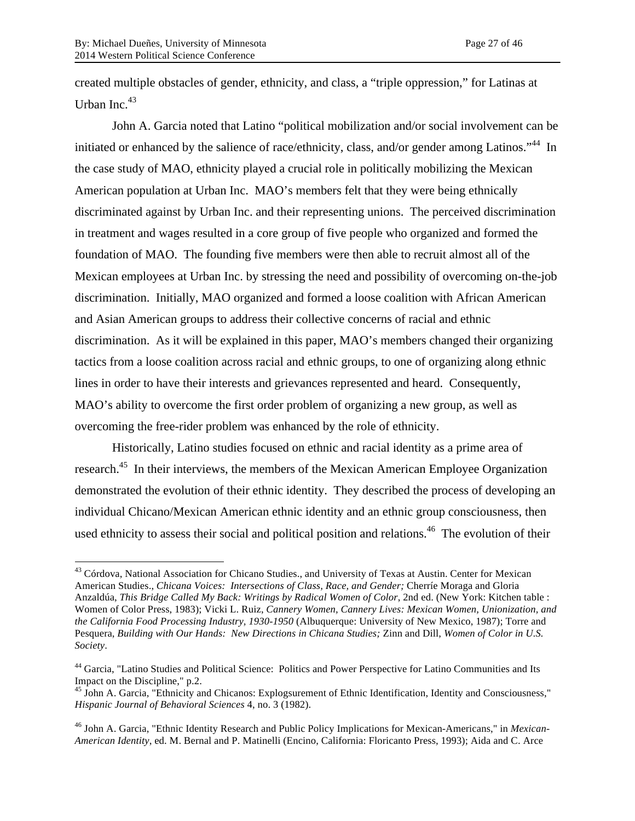created multiple obstacles of gender, ethnicity, and class, a "triple oppression," for Latinas at Urban Inc. $43$ 

John A. Garcia noted that Latino "political mobilization and/or social involvement can be initiated or enhanced by the salience of race/ethnicity, class, and/or gender among Latinos."<sup>44</sup> In the case study of MAO, ethnicity played a crucial role in politically mobilizing the Mexican American population at Urban Inc. MAO's members felt that they were being ethnically discriminated against by Urban Inc. and their representing unions. The perceived discrimination in treatment and wages resulted in a core group of five people who organized and formed the foundation of MAO. The founding five members were then able to recruit almost all of the Mexican employees at Urban Inc. by stressing the need and possibility of overcoming on-the-job discrimination. Initially, MAO organized and formed a loose coalition with African American and Asian American groups to address their collective concerns of racial and ethnic discrimination. As it will be explained in this paper, MAO's members changed their organizing tactics from a loose coalition across racial and ethnic groups, to one of organizing along ethnic lines in order to have their interests and grievances represented and heard. Consequently, MAO's ability to overcome the first order problem of organizing a new group, as well as overcoming the free-rider problem was enhanced by the role of ethnicity.

Historically, Latino studies focused on ethnic and racial identity as a prime area of research.<sup>45</sup> In their interviews, the members of the Mexican American Employee Organization demonstrated the evolution of their ethnic identity. They described the process of developing an individual Chicano/Mexican American ethnic identity and an ethnic group consciousness, then used ethnicity to assess their social and political position and relations.<sup>46</sup> The evolution of their

<sup>&</sup>lt;sup>43</sup> Córdova, National Association for Chicano Studies., and University of Texas at Austin. Center for Mexican American Studies., *Chicana Voices: Intersections of Class, Race, and Gender;* Cherríe Moraga and Gloria Anzaldúa, *This Bridge Called My Back: Writings by Radical Women of Color*, 2nd ed. (New York: Kitchen table : Women of Color Press, 1983); Vicki L. Ruiz, *Cannery Women, Cannery Lives: Mexican Women, Unionization, and the California Food Processing Industry, 1930-1950* (Albuquerque: University of New Mexico, 1987); Torre and Pesquera, *Building with Our Hands: New Directions in Chicana Studies;* Zinn and Dill, *Women of Color in U.S. Society*.

<sup>44</sup> Garcia, "Latino Studies and Political Science: Politics and Power Perspective for Latino Communities and Its Impact on the Discipline," p.2.

<sup>&</sup>lt;sup>45</sup> John A. Garcia, "Ethnicity and Chicanos: Explogsurement of Ethnic Identification, Identity and Consciousness," *Hispanic Journal of Behavioral Sciences* 4, no. 3 (1982).

<sup>46</sup> John A. Garcia, "Ethnic Identity Research and Public Policy Implications for Mexican-Americans," in *Mexican-American Identity*, ed. M. Bernal and P. Matinelli (Encino, California: Floricanto Press, 1993); Aida and C. Arce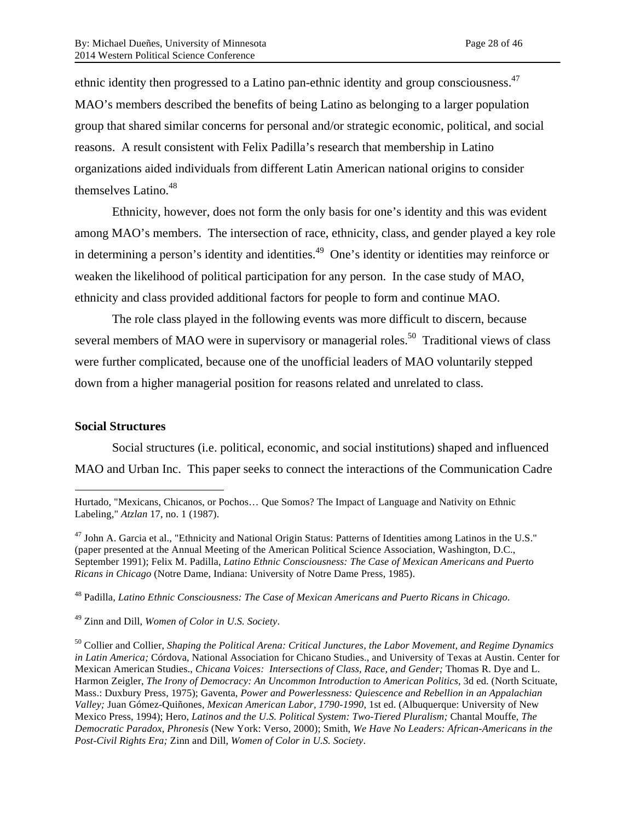ethnic identity then progressed to a Latino pan-ethnic identity and group consciousness.47 MAO's members described the benefits of being Latino as belonging to a larger population group that shared similar concerns for personal and/or strategic economic, political, and social reasons. A result consistent with Felix Padilla's research that membership in Latino organizations aided individuals from different Latin American national origins to consider themselves Latino.<sup>48</sup>

Ethnicity, however, does not form the only basis for one's identity and this was evident among MAO's members. The intersection of race, ethnicity, class, and gender played a key role in determining a person's identity and identities.<sup>49</sup> One's identity or identities may reinforce or weaken the likelihood of political participation for any person. In the case study of MAO, ethnicity and class provided additional factors for people to form and continue MAO.

The role class played in the following events was more difficult to discern, because several members of MAO were in supervisory or managerial roles.<sup>50</sup> Traditional views of class were further complicated, because one of the unofficial leaders of MAO voluntarily stepped down from a higher managerial position for reasons related and unrelated to class.

#### **Social Structures**

 $\overline{a}$ 

Social structures (i.e. political, economic, and social institutions) shaped and influenced MAO and Urban Inc. This paper seeks to connect the interactions of the Communication Cadre

 $^{47}$  John A. Garcia et al., "Ethnicity and National Origin Status: Patterns of Identities among Latinos in the U.S." (paper presented at the Annual Meeting of the American Political Science Association, Washington, D.C., September 1991); Felix M. Padilla, *Latino Ethnic Consciousness: The Case of Mexican Americans and Puerto Ricans in Chicago* (Notre Dame, Indiana: University of Notre Dame Press, 1985).

<sup>48</sup> Padilla, *Latino Ethnic Consciousness: The Case of Mexican Americans and Puerto Ricans in Chicago*.

<sup>49</sup> Zinn and Dill, *Women of Color in U.S. Society*.

<sup>50</sup> Collier and Collier, *Shaping the Political Arena: Critical Junctures, the Labor Movement, and Regime Dynamics in Latin America;* Córdova, National Association for Chicano Studies., and University of Texas at Austin. Center for Mexican American Studies., *Chicana Voices: Intersections of Class, Race, and Gender;* Thomas R. Dye and L. Harmon Zeigler, *The Irony of Democracy: An Uncommon Introduction to American Politics*, 3d ed. (North Scituate, Mass.: Duxbury Press, 1975); Gaventa, *Power and Powerlessness: Quiescence and Rebellion in an Appalachian Valley;* Juan Gómez-Quiñones, *Mexican American Labor, 1790-1990*, 1st ed. (Albuquerque: University of New Mexico Press, 1994); Hero, *Latinos and the U.S. Political System: Two-Tiered Pluralism;* Chantal Mouffe, *The Democratic Paradox*, *Phronesis* (New York: Verso, 2000); Smith, *We Have No Leaders: African-Americans in the Post-Civil Rights Era;* Zinn and Dill, *Women of Color in U.S. Society*.

Hurtado, "Mexicans, Chicanos, or Pochos… Que Somos? The Impact of Language and Nativity on Ethnic Labeling," *Atzlan* 17, no. 1 (1987).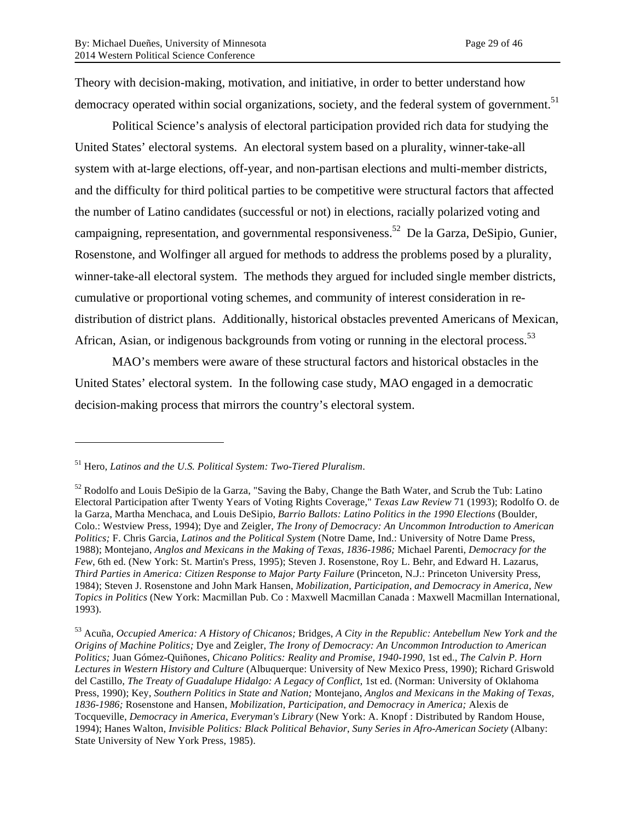Theory with decision-making, motivation, and initiative, in order to better understand how democracy operated within social organizations, society, and the federal system of government.<sup>51</sup>

Political Science's analysis of electoral participation provided rich data for studying the United States' electoral systems. An electoral system based on a plurality, winner-take-all system with at-large elections, off-year, and non-partisan elections and multi-member districts, and the difficulty for third political parties to be competitive were structural factors that affected the number of Latino candidates (successful or not) in elections, racially polarized voting and campaigning, representation, and governmental responsiveness.<sup>52</sup> De la Garza, DeSipio, Gunier, Rosenstone, and Wolfinger all argued for methods to address the problems posed by a plurality, winner-take-all electoral system. The methods they argued for included single member districts, cumulative or proportional voting schemes, and community of interest consideration in redistribution of district plans. Additionally, historical obstacles prevented Americans of Mexican, African, Asian, or indigenous backgrounds from voting or running in the electoral process.<sup>53</sup>

MAO's members were aware of these structural factors and historical obstacles in the United States' electoral system. In the following case study, MAO engaged in a democratic decision-making process that mirrors the country's electoral system.

 $\overline{a}$ 

<sup>51</sup> Hero, *Latinos and the U.S. Political System: Two-Tiered Pluralism*.

<sup>&</sup>lt;sup>52</sup> Rodolfo and Louis DeSipio de la Garza, "Saving the Baby, Change the Bath Water, and Scrub the Tub: Latino Electoral Participation after Twenty Years of Voting Rights Coverage," *Texas Law Review* 71 (1993); Rodolfo O. de la Garza, Martha Menchaca, and Louis DeSipio, *Barrio Ballots: Latino Politics in the 1990 Elections* (Boulder, Colo.: Westview Press, 1994); Dye and Zeigler, *The Irony of Democracy: An Uncommon Introduction to American Politics;* F. Chris Garcia, *Latinos and the Political System* (Notre Dame, Ind.: University of Notre Dame Press, 1988); Montejano, *Anglos and Mexicans in the Making of Texas, 1836-1986;* Michael Parenti, *Democracy for the Few*, 6th ed. (New York: St. Martin's Press, 1995); Steven J. Rosenstone, Roy L. Behr, and Edward H. Lazarus, *Third Parties in America: Citizen Response to Major Party Failure* (Princeton, N.J.: Princeton University Press, 1984); Steven J. Rosenstone and John Mark Hansen, *Mobilization, Participation, and Democracy in America*, *New Topics in Politics* (New York: Macmillan Pub. Co : Maxwell Macmillan Canada : Maxwell Macmillan International, 1993).

<sup>53</sup> Acuña, *Occupied America: A History of Chicanos;* Bridges, *A City in the Republic: Antebellum New York and the Origins of Machine Politics;* Dye and Zeigler, *The Irony of Democracy: An Uncommon Introduction to American Politics;* Juan Gómez-Quiñones, *Chicano Politics: Reality and Promise, 1940-1990*, 1st ed., *The Calvin P. Horn Lectures in Western History and Culture* (Albuquerque: University of New Mexico Press, 1990); Richard Griswold del Castillo, *The Treaty of Guadalupe Hidalgo: A Legacy of Conflict*, 1st ed. (Norman: University of Oklahoma Press, 1990); Key, *Southern Politics in State and Nation;* Montejano, *Anglos and Mexicans in the Making of Texas, 1836-1986;* Rosenstone and Hansen, *Mobilization, Participation, and Democracy in America;* Alexis de Tocqueville, *Democracy in America*, *Everyman's Library* (New York: A. Knopf : Distributed by Random House, 1994); Hanes Walton, *Invisible Politics: Black Political Behavior*, *Suny Series in Afro-American Society* (Albany: State University of New York Press, 1985).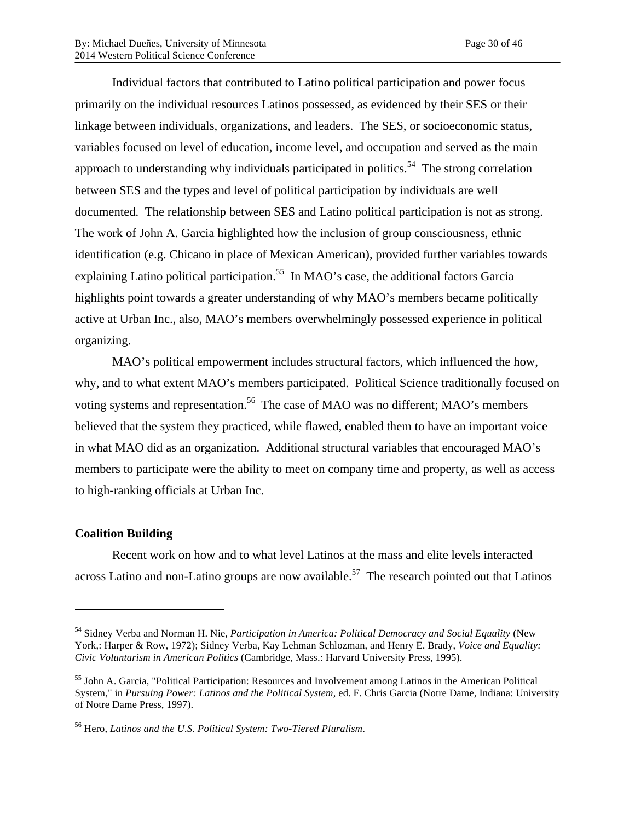Individual factors that contributed to Latino political participation and power focus primarily on the individual resources Latinos possessed, as evidenced by their SES or their linkage between individuals, organizations, and leaders. The SES, or socioeconomic status, variables focused on level of education, income level, and occupation and served as the main approach to understanding why individuals participated in politics.<sup>54</sup> The strong correlation between SES and the types and level of political participation by individuals are well documented. The relationship between SES and Latino political participation is not as strong. The work of John A. Garcia highlighted how the inclusion of group consciousness, ethnic identification (e.g. Chicano in place of Mexican American), provided further variables towards explaining Latino political participation.<sup>55</sup> In MAO's case, the additional factors Garcia highlights point towards a greater understanding of why MAO's members became politically active at Urban Inc., also, MAO's members overwhelmingly possessed experience in political organizing.

MAO's political empowerment includes structural factors, which influenced the how, why, and to what extent MAO's members participated. Political Science traditionally focused on voting systems and representation.<sup>56</sup> The case of MAO was no different; MAO's members believed that the system they practiced, while flawed, enabled them to have an important voice in what MAO did as an organization. Additional structural variables that encouraged MAO's members to participate were the ability to meet on company time and property, as well as access to high-ranking officials at Urban Inc.

#### **Coalition Building**

 $\overline{a}$ 

Recent work on how and to what level Latinos at the mass and elite levels interacted across Latino and non-Latino groups are now available.<sup>57</sup> The research pointed out that Latinos

<sup>54</sup> Sidney Verba and Norman H. Nie, *Participation in America: Political Democracy and Social Equality* (New York,: Harper & Row, 1972); Sidney Verba, Kay Lehman Schlozman, and Henry E. Brady, *Voice and Equality: Civic Voluntarism in American Politics* (Cambridge, Mass.: Harvard University Press, 1995).

<sup>55</sup> John A. Garcia, "Political Participation: Resources and Involvement among Latinos in the American Political System," in *Pursuing Power: Latinos and the Political System*, ed. F. Chris Garcia (Notre Dame, Indiana: University of Notre Dame Press, 1997).

<sup>56</sup> Hero, *Latinos and the U.S. Political System: Two-Tiered Pluralism*.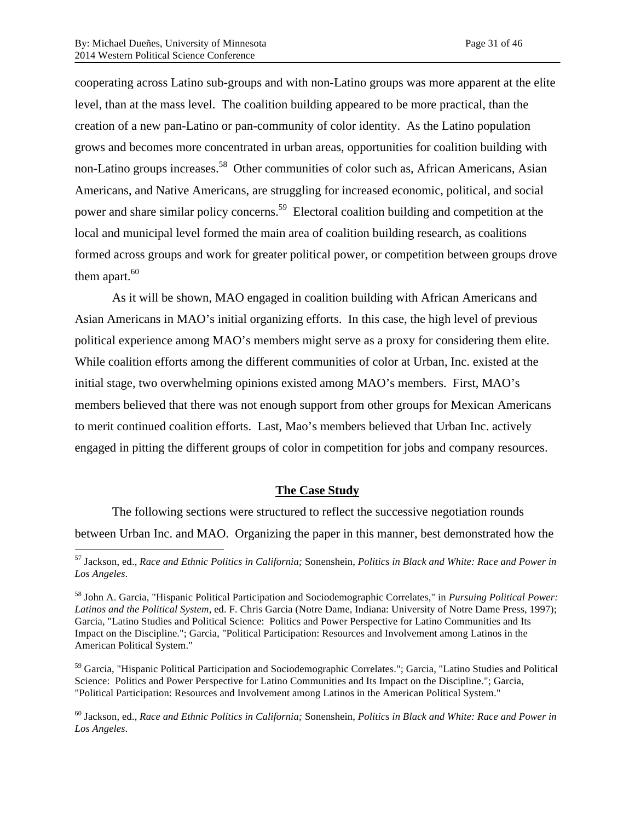cooperating across Latino sub-groups and with non-Latino groups was more apparent at the elite level, than at the mass level. The coalition building appeared to be more practical, than the creation of a new pan-Latino or pan-community of color identity. As the Latino population grows and becomes more concentrated in urban areas, opportunities for coalition building with non-Latino groups increases.<sup>58</sup> Other communities of color such as, African Americans, Asian Americans, and Native Americans, are struggling for increased economic, political, and social power and share similar policy concerns.<sup>59</sup> Electoral coalition building and competition at the local and municipal level formed the main area of coalition building research, as coalitions formed across groups and work for greater political power, or competition between groups drove them apart. $60$ 

As it will be shown, MAO engaged in coalition building with African Americans and Asian Americans in MAO's initial organizing efforts. In this case, the high level of previous political experience among MAO's members might serve as a proxy for considering them elite. While coalition efforts among the different communities of color at Urban, Inc. existed at the initial stage, two overwhelming opinions existed among MAO's members. First, MAO's members believed that there was not enough support from other groups for Mexican Americans to merit continued coalition efforts. Last, Mao's members believed that Urban Inc. actively engaged in pitting the different groups of color in competition for jobs and company resources.

#### **The Case Study**

The following sections were structured to reflect the successive negotiation rounds between Urban Inc. and MAO. Organizing the paper in this manner, best demonstrated how the

<sup>59</sup> Garcia, "Hispanic Political Participation and Sociodemographic Correlates."; Garcia, "Latino Studies and Political Science: Politics and Power Perspective for Latino Communities and Its Impact on the Discipline."; Garcia, "Political Participation: Resources and Involvement among Latinos in the American Political System."

 <sup>57</sup> Jackson, ed., *Race and Ethnic Politics in California;* Sonenshein, *Politics in Black and White: Race and Power in Los Angeles*.

<sup>58</sup> John A. Garcia, "Hispanic Political Participation and Sociodemographic Correlates," in *Pursuing Political Power: Latinos and the Political System*, ed. F. Chris Garcia (Notre Dame, Indiana: University of Notre Dame Press, 1997); Garcia, "Latino Studies and Political Science: Politics and Power Perspective for Latino Communities and Its Impact on the Discipline."; Garcia, "Political Participation: Resources and Involvement among Latinos in the American Political System."

<sup>60</sup> Jackson, ed., *Race and Ethnic Politics in California;* Sonenshein, *Politics in Black and White: Race and Power in Los Angeles*.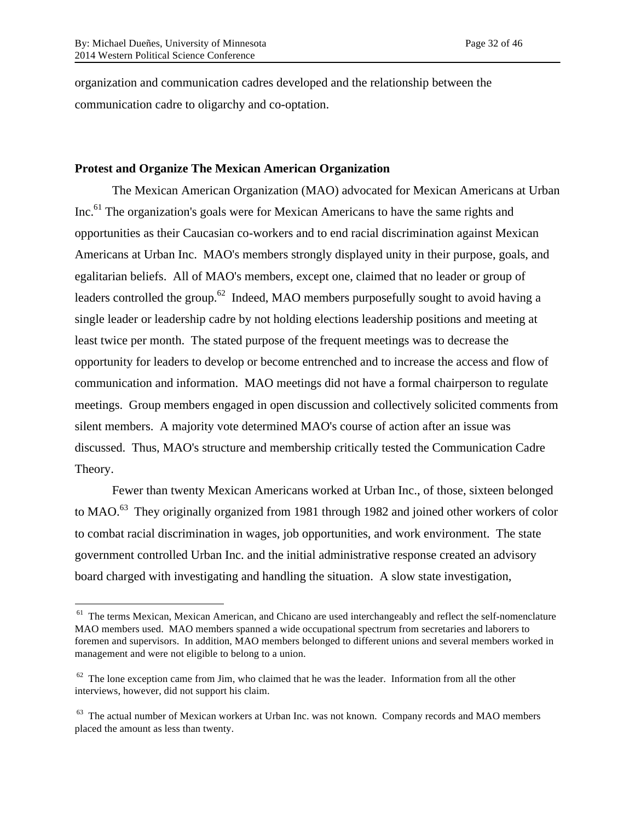organization and communication cadres developed and the relationship between the communication cadre to oligarchy and co-optation.

#### **Protest and Organize The Mexican American Organization**

The Mexican American Organization (MAO) advocated for Mexican Americans at Urban Inc.<sup>61</sup> The organization's goals were for Mexican Americans to have the same rights and opportunities as their Caucasian co-workers and to end racial discrimination against Mexican Americans at Urban Inc. MAO's members strongly displayed unity in their purpose, goals, and egalitarian beliefs. All of MAO's members, except one, claimed that no leader or group of leaders controlled the group.<sup>62</sup> Indeed, MAO members purposefully sought to avoid having a single leader or leadership cadre by not holding elections leadership positions and meeting at least twice per month. The stated purpose of the frequent meetings was to decrease the opportunity for leaders to develop or become entrenched and to increase the access and flow of communication and information. MAO meetings did not have a formal chairperson to regulate meetings. Group members engaged in open discussion and collectively solicited comments from silent members. A majority vote determined MAO's course of action after an issue was discussed. Thus, MAO's structure and membership critically tested the Communication Cadre Theory.

Fewer than twenty Mexican Americans worked at Urban Inc., of those, sixteen belonged to MAO.<sup>63</sup> They originally organized from 1981 through 1982 and joined other workers of color to combat racial discrimination in wages, job opportunities, and work environment. The state government controlled Urban Inc. and the initial administrative response created an advisory board charged with investigating and handling the situation. A slow state investigation,

 $61$  The terms Mexican, Mexican American, and Chicano are used interchangeably and reflect the self-nomenclature MAO members used. MAO members spanned a wide occupational spectrum from secretaries and laborers to foremen and supervisors. In addition, MAO members belonged to different unions and several members worked in management and were not eligible to belong to a union.

 $62$  The lone exception came from Jim, who claimed that he was the leader. Information from all the other interviews, however, did not support his claim.

 $63$  The actual number of Mexican workers at Urban Inc. was not known. Company records and MAO members placed the amount as less than twenty.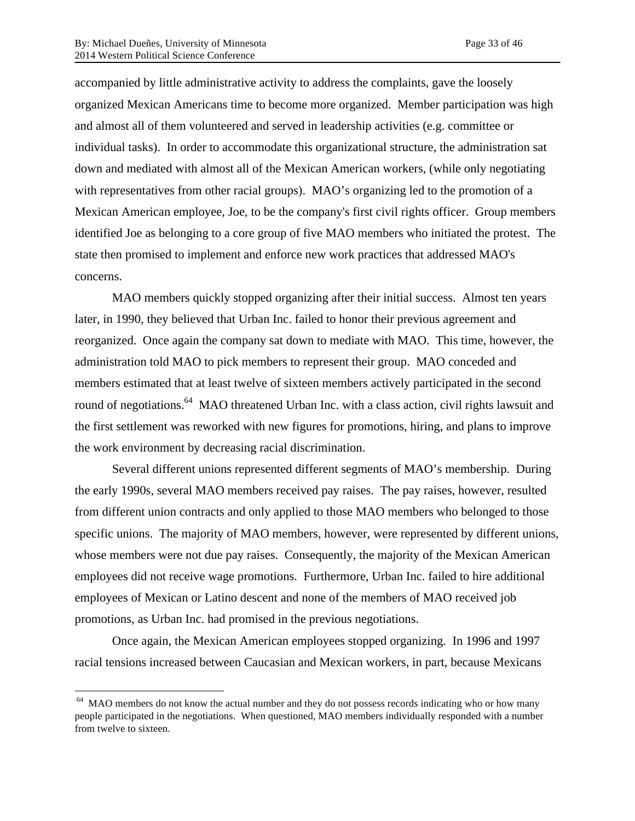accompanied by little administrative activity to address the complaints, gave the loosely organized Mexican Americans time to become more organized. Member participation was high and almost all of them volunteered and served in leadership activities (e.g. committee or individual tasks). In order to accommodate this organizational structure, the administration sat down and mediated with almost all of the Mexican American workers, (while only negotiating with representatives from other racial groups). MAO's organizing led to the promotion of a Mexican American employee, Joe, to be the company's first civil rights officer. Group members identified Joe as belonging to a core group of five MAO members who initiated the protest. The state then promised to implement and enforce new work practices that addressed MAO's concerns.

MAO members quickly stopped organizing after their initial success. Almost ten years later, in 1990, they believed that Urban Inc. failed to honor their previous agreement and reorganized. Once again the company sat down to mediate with MAO. This time, however, the administration told MAO to pick members to represent their group. MAO conceded and members estimated that at least twelve of sixteen members actively participated in the second round of negotiations.<sup>64</sup> MAO threatened Urban Inc. with a class action, civil rights lawsuit and the first settlement was reworked with new figures for promotions, hiring, and plans to improve the work environment by decreasing racial discrimination.

Several different unions represented different segments of MAO's membership. During the early 1990s, several MAO members received pay raises. The pay raises, however, resulted from different union contracts and only applied to those MAO members who belonged to those specific unions. The majority of MAO members, however, were represented by different unions, whose members were not due pay raises. Consequently, the majority of the Mexican American employees did not receive wage promotions. Furthermore, Urban Inc. failed to hire additional employees of Mexican or Latino descent and none of the members of MAO received job promotions, as Urban Inc. had promised in the previous negotiations.

Once again, the Mexican American employees stopped organizing. In 1996 and 1997 racial tensions increased between Caucasian and Mexican workers, in part, because Mexicans

<sup>&</sup>lt;sup>64</sup> MAO members do not know the actual number and they do not possess records indicating who or how many people participated in the negotiations. When questioned, MAO members individually responded with a number from twelve to sixteen.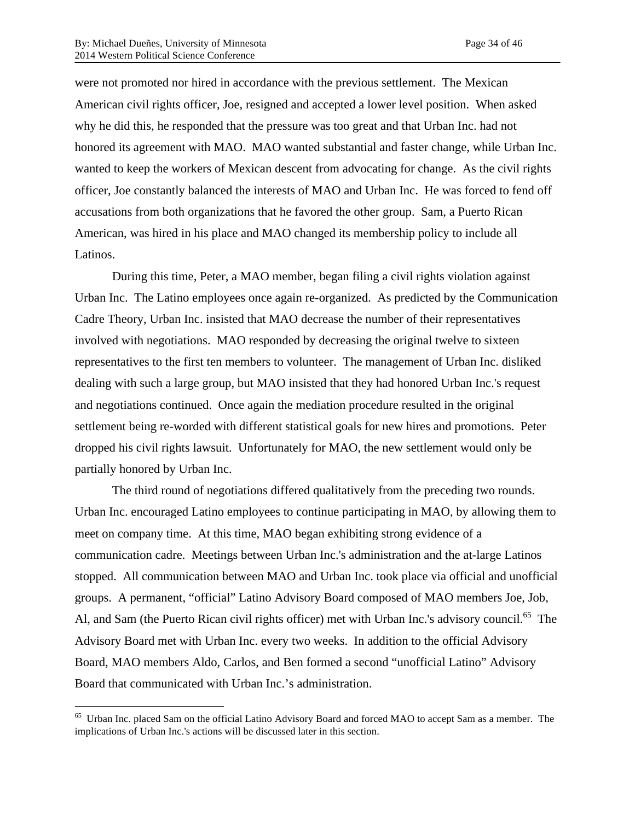were not promoted nor hired in accordance with the previous settlement. The Mexican American civil rights officer, Joe, resigned and accepted a lower level position. When asked why he did this, he responded that the pressure was too great and that Urban Inc. had not honored its agreement with MAO. MAO wanted substantial and faster change, while Urban Inc. wanted to keep the workers of Mexican descent from advocating for change. As the civil rights officer, Joe constantly balanced the interests of MAO and Urban Inc. He was forced to fend off accusations from both organizations that he favored the other group. Sam, a Puerto Rican American, was hired in his place and MAO changed its membership policy to include all Latinos.

During this time, Peter, a MAO member, began filing a civil rights violation against Urban Inc. The Latino employees once again re-organized. As predicted by the Communication Cadre Theory, Urban Inc. insisted that MAO decrease the number of their representatives involved with negotiations. MAO responded by decreasing the original twelve to sixteen representatives to the first ten members to volunteer. The management of Urban Inc. disliked dealing with such a large group, but MAO insisted that they had honored Urban Inc.'s request and negotiations continued. Once again the mediation procedure resulted in the original settlement being re-worded with different statistical goals for new hires and promotions. Peter dropped his civil rights lawsuit. Unfortunately for MAO, the new settlement would only be partially honored by Urban Inc.

The third round of negotiations differed qualitatively from the preceding two rounds. Urban Inc. encouraged Latino employees to continue participating in MAO, by allowing them to meet on company time. At this time, MAO began exhibiting strong evidence of a communication cadre. Meetings between Urban Inc.'s administration and the at-large Latinos stopped. All communication between MAO and Urban Inc. took place via official and unofficial groups. A permanent, "official" Latino Advisory Board composed of MAO members Joe, Job, Al, and Sam (the Puerto Rican civil rights officer) met with Urban Inc.'s advisory council.<sup>65</sup> The Advisory Board met with Urban Inc. every two weeks. In addition to the official Advisory Board, MAO members Aldo, Carlos, and Ben formed a second "unofficial Latino" Advisory Board that communicated with Urban Inc.'s administration.

 <sup>65</sup> Urban Inc. placed Sam on the official Latino Advisory Board and forced MAO to accept Sam as a member. The implications of Urban Inc.'s actions will be discussed later in this section.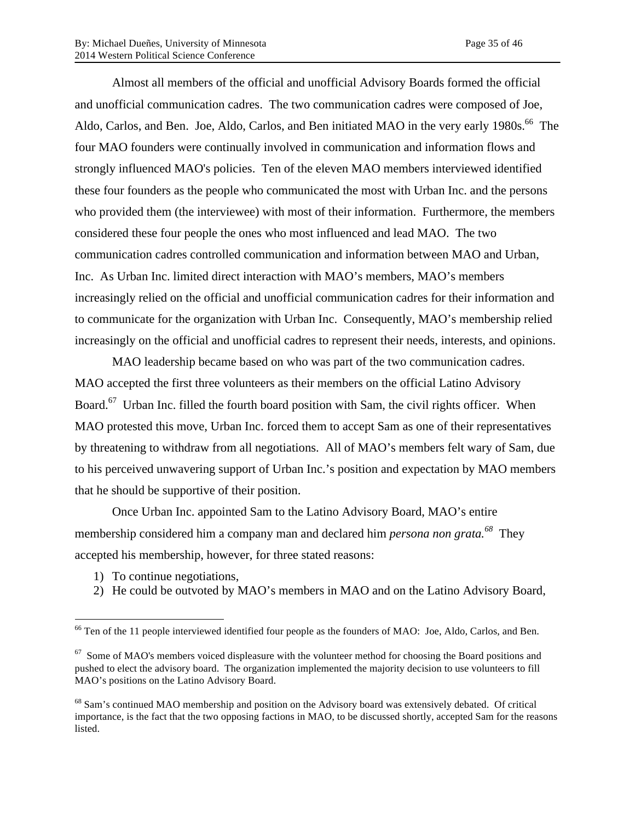Almost all members of the official and unofficial Advisory Boards formed the official and unofficial communication cadres. The two communication cadres were composed of Joe, Aldo, Carlos, and Ben. Joe, Aldo, Carlos, and Ben initiated MAO in the very early 1980s.<sup>66</sup> The four MAO founders were continually involved in communication and information flows and strongly influenced MAO's policies. Ten of the eleven MAO members interviewed identified these four founders as the people who communicated the most with Urban Inc. and the persons who provided them (the interviewee) with most of their information. Furthermore, the members considered these four people the ones who most influenced and lead MAO. The two communication cadres controlled communication and information between MAO and Urban, Inc. As Urban Inc. limited direct interaction with MAO's members, MAO's members increasingly relied on the official and unofficial communication cadres for their information and to communicate for the organization with Urban Inc. Consequently, MAO's membership relied increasingly on the official and unofficial cadres to represent their needs, interests, and opinions.

MAO leadership became based on who was part of the two communication cadres. MAO accepted the first three volunteers as their members on the official Latino Advisory Board.<sup>67</sup> Urban Inc. filled the fourth board position with Sam, the civil rights officer. When MAO protested this move, Urban Inc. forced them to accept Sam as one of their representatives by threatening to withdraw from all negotiations. All of MAO's members felt wary of Sam, due to his perceived unwavering support of Urban Inc.'s position and expectation by MAO members that he should be supportive of their position.

Once Urban Inc. appointed Sam to the Latino Advisory Board, MAO's entire membership considered him a company man and declared him *persona non grata.<sup>68</sup>* They accepted his membership, however, for three stated reasons:

- 1) To continue negotiations,
- 2) He could be outvoted by MAO's members in MAO and on the Latino Advisory Board,

<sup>&</sup>lt;sup>66</sup> Ten of the 11 people interviewed identified four people as the founders of MAO: Joe, Aldo, Carlos, and Ben.

 $67$  Some of MAO's members voiced displeasure with the volunteer method for choosing the Board positions and pushed to elect the advisory board. The organization implemented the majority decision to use volunteers to fill MAO's positions on the Latino Advisory Board.

<sup>&</sup>lt;sup>68</sup> Sam's continued MAO membership and position on the Advisory board was extensively debated. Of critical importance, is the fact that the two opposing factions in MAO, to be discussed shortly, accepted Sam for the reasons listed.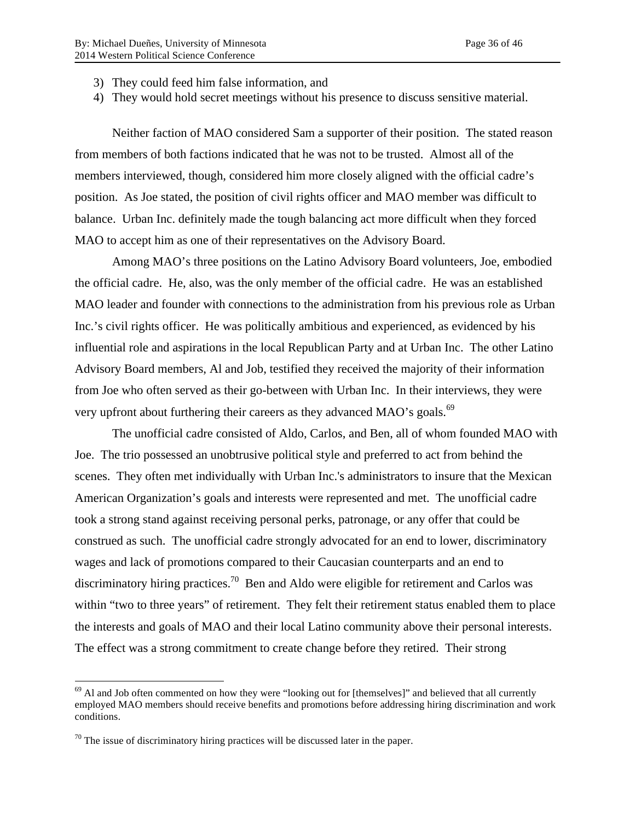- 3) They could feed him false information, and
- 4) They would hold secret meetings without his presence to discuss sensitive material.

Neither faction of MAO considered Sam a supporter of their position. The stated reason from members of both factions indicated that he was not to be trusted. Almost all of the members interviewed, though, considered him more closely aligned with the official cadre's position. As Joe stated, the position of civil rights officer and MAO member was difficult to balance. Urban Inc. definitely made the tough balancing act more difficult when they forced MAO to accept him as one of their representatives on the Advisory Board.

Among MAO's three positions on the Latino Advisory Board volunteers, Joe, embodied the official cadre. He, also, was the only member of the official cadre. He was an established MAO leader and founder with connections to the administration from his previous role as Urban Inc.'s civil rights officer. He was politically ambitious and experienced, as evidenced by his influential role and aspirations in the local Republican Party and at Urban Inc. The other Latino Advisory Board members, Al and Job, testified they received the majority of their information from Joe who often served as their go-between with Urban Inc. In their interviews, they were very upfront about furthering their careers as they advanced MAO's goals.<sup>69</sup>

The unofficial cadre consisted of Aldo, Carlos, and Ben, all of whom founded MAO with Joe. The trio possessed an unobtrusive political style and preferred to act from behind the scenes. They often met individually with Urban Inc.'s administrators to insure that the Mexican American Organization's goals and interests were represented and met. The unofficial cadre took a strong stand against receiving personal perks, patronage, or any offer that could be construed as such. The unofficial cadre strongly advocated for an end to lower, discriminatory wages and lack of promotions compared to their Caucasian counterparts and an end to discriminatory hiring practices.<sup>70</sup> Ben and Aldo were eligible for retirement and Carlos was within "two to three years" of retirement. They felt their retirement status enabled them to place the interests and goals of MAO and their local Latino community above their personal interests. The effect was a strong commitment to create change before they retired. Their strong

<sup>&</sup>lt;sup>69</sup> Al and Job often commented on how they were "looking out for [themselves]" and believed that all currently employed MAO members should receive benefits and promotions before addressing hiring discrimination and work conditions.

 $70$  The issue of discriminatory hiring practices will be discussed later in the paper.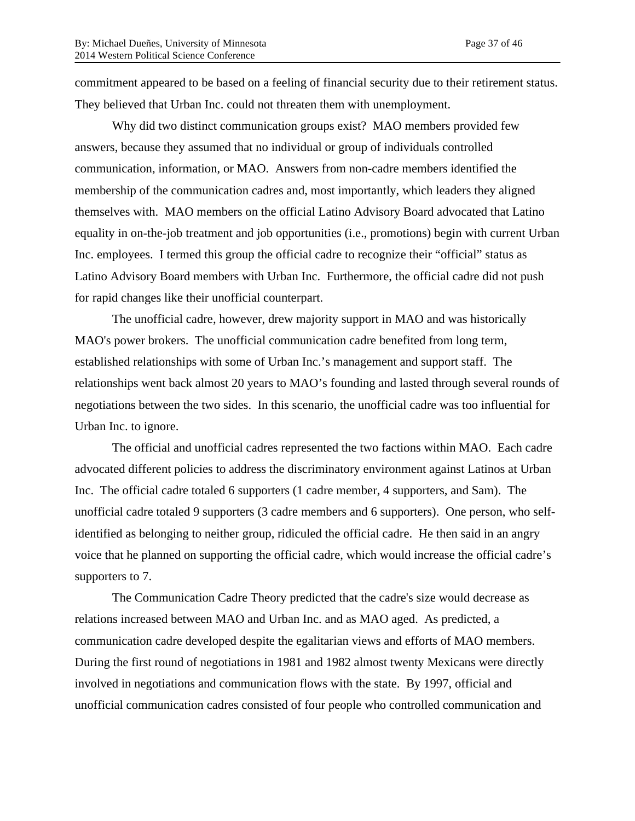commitment appeared to be based on a feeling of financial security due to their retirement status. They believed that Urban Inc. could not threaten them with unemployment.

Why did two distinct communication groups exist? MAO members provided few answers, because they assumed that no individual or group of individuals controlled communication, information, or MAO. Answers from non-cadre members identified the membership of the communication cadres and, most importantly, which leaders they aligned themselves with. MAO members on the official Latino Advisory Board advocated that Latino equality in on-the-job treatment and job opportunities (i.e., promotions) begin with current Urban Inc. employees. I termed this group the official cadre to recognize their "official" status as Latino Advisory Board members with Urban Inc. Furthermore, the official cadre did not push for rapid changes like their unofficial counterpart.

The unofficial cadre, however, drew majority support in MAO and was historically MAO's power brokers. The unofficial communication cadre benefited from long term, established relationships with some of Urban Inc.'s management and support staff. The relationships went back almost 20 years to MAO's founding and lasted through several rounds of negotiations between the two sides. In this scenario, the unofficial cadre was too influential for Urban Inc. to ignore.

The official and unofficial cadres represented the two factions within MAO. Each cadre advocated different policies to address the discriminatory environment against Latinos at Urban Inc. The official cadre totaled 6 supporters (1 cadre member, 4 supporters, and Sam). The unofficial cadre totaled 9 supporters (3 cadre members and 6 supporters). One person, who selfidentified as belonging to neither group, ridiculed the official cadre. He then said in an angry voice that he planned on supporting the official cadre, which would increase the official cadre's supporters to 7.

The Communication Cadre Theory predicted that the cadre's size would decrease as relations increased between MAO and Urban Inc. and as MAO aged. As predicted, a communication cadre developed despite the egalitarian views and efforts of MAO members. During the first round of negotiations in 1981 and 1982 almost twenty Mexicans were directly involved in negotiations and communication flows with the state. By 1997, official and unofficial communication cadres consisted of four people who controlled communication and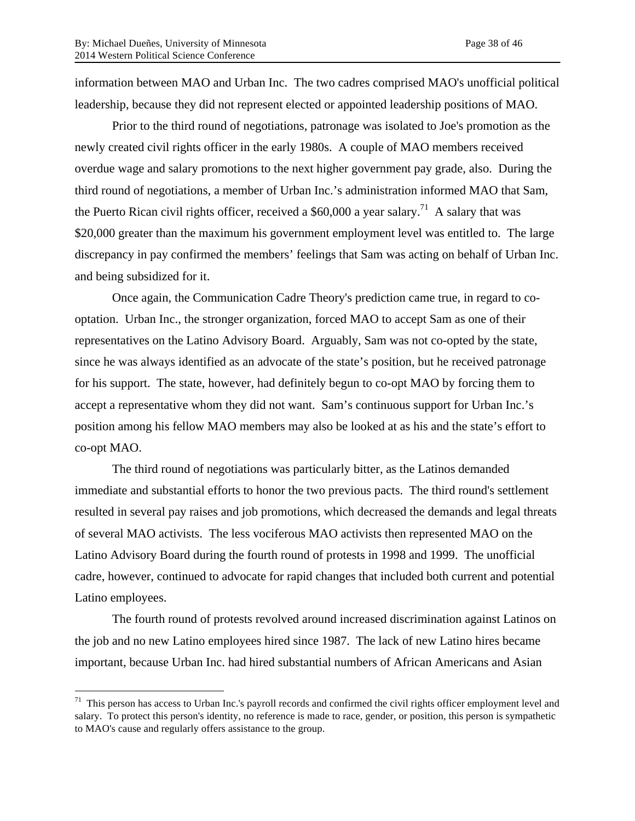information between MAO and Urban Inc. The two cadres comprised MAO's unofficial political leadership, because they did not represent elected or appointed leadership positions of MAO.

Prior to the third round of negotiations, patronage was isolated to Joe's promotion as the newly created civil rights officer in the early 1980s. A couple of MAO members received overdue wage and salary promotions to the next higher government pay grade, also. During the third round of negotiations, a member of Urban Inc.'s administration informed MAO that Sam, the Puerto Rican civil rights officer, received a  $$60,000$  a year salary.<sup>71</sup> A salary that was \$20,000 greater than the maximum his government employment level was entitled to. The large discrepancy in pay confirmed the members' feelings that Sam was acting on behalf of Urban Inc. and being subsidized for it.

Once again, the Communication Cadre Theory's prediction came true, in regard to cooptation. Urban Inc., the stronger organization, forced MAO to accept Sam as one of their representatives on the Latino Advisory Board. Arguably, Sam was not co-opted by the state, since he was always identified as an advocate of the state's position, but he received patronage for his support. The state, however, had definitely begun to co-opt MAO by forcing them to accept a representative whom they did not want. Sam's continuous support for Urban Inc.'s position among his fellow MAO members may also be looked at as his and the state's effort to co-opt MAO.

The third round of negotiations was particularly bitter, as the Latinos demanded immediate and substantial efforts to honor the two previous pacts. The third round's settlement resulted in several pay raises and job promotions, which decreased the demands and legal threats of several MAO activists. The less vociferous MAO activists then represented MAO on the Latino Advisory Board during the fourth round of protests in 1998 and 1999. The unofficial cadre, however, continued to advocate for rapid changes that included both current and potential Latino employees.

The fourth round of protests revolved around increased discrimination against Latinos on the job and no new Latino employees hired since 1987. The lack of new Latino hires became important, because Urban Inc. had hired substantial numbers of African Americans and Asian

 $71$  This person has access to Urban Inc.'s payroll records and confirmed the civil rights officer employment level and salary. To protect this person's identity, no reference is made to race, gender, or position, this person is sympathetic to MAO's cause and regularly offers assistance to the group.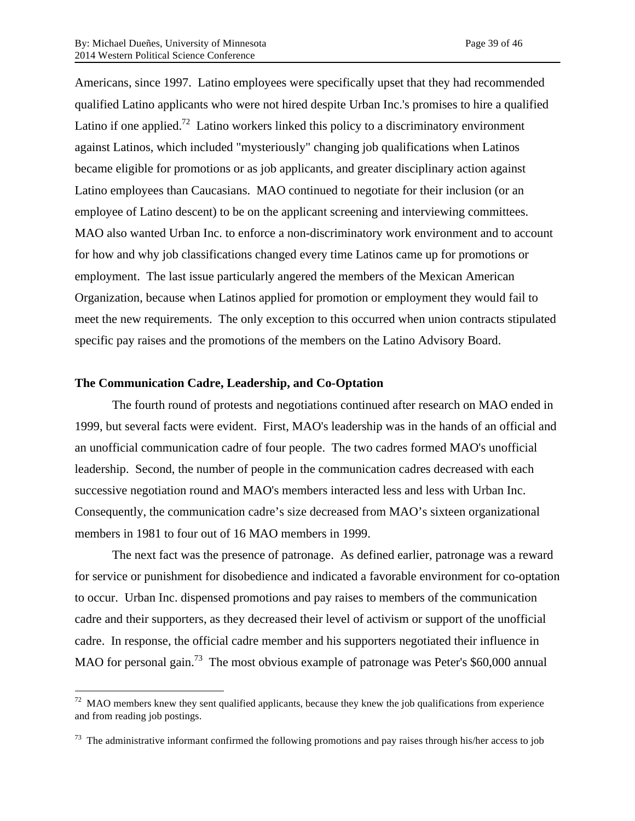Americans, since 1997. Latino employees were specifically upset that they had recommended qualified Latino applicants who were not hired despite Urban Inc.'s promises to hire a qualified Latino if one applied.<sup>72</sup> Latino workers linked this policy to a discriminatory environment against Latinos, which included "mysteriously" changing job qualifications when Latinos became eligible for promotions or as job applicants, and greater disciplinary action against Latino employees than Caucasians. MAO continued to negotiate for their inclusion (or an employee of Latino descent) to be on the applicant screening and interviewing committees. MAO also wanted Urban Inc. to enforce a non-discriminatory work environment and to account for how and why job classifications changed every time Latinos came up for promotions or employment. The last issue particularly angered the members of the Mexican American Organization, because when Latinos applied for promotion or employment they would fail to meet the new requirements. The only exception to this occurred when union contracts stipulated specific pay raises and the promotions of the members on the Latino Advisory Board.

### **The Communication Cadre, Leadership, and Co-Optation**

The fourth round of protests and negotiations continued after research on MAO ended in 1999, but several facts were evident. First, MAO's leadership was in the hands of an official and an unofficial communication cadre of four people. The two cadres formed MAO's unofficial leadership. Second, the number of people in the communication cadres decreased with each successive negotiation round and MAO's members interacted less and less with Urban Inc. Consequently, the communication cadre's size decreased from MAO's sixteen organizational members in 1981 to four out of 16 MAO members in 1999.

The next fact was the presence of patronage. As defined earlier, patronage was a reward for service or punishment for disobedience and indicated a favorable environment for co-optation to occur. Urban Inc. dispensed promotions and pay raises to members of the communication cadre and their supporters, as they decreased their level of activism or support of the unofficial cadre. In response, the official cadre member and his supporters negotiated their influence in MAO for personal gain.<sup>73</sup> The most obvious example of patronage was Peter's \$60,000 annual

 $72$  MAO members knew they sent qualified applicants, because they knew the job qualifications from experience and from reading job postings.

 $73$  The administrative informant confirmed the following promotions and pay raises through his/her access to job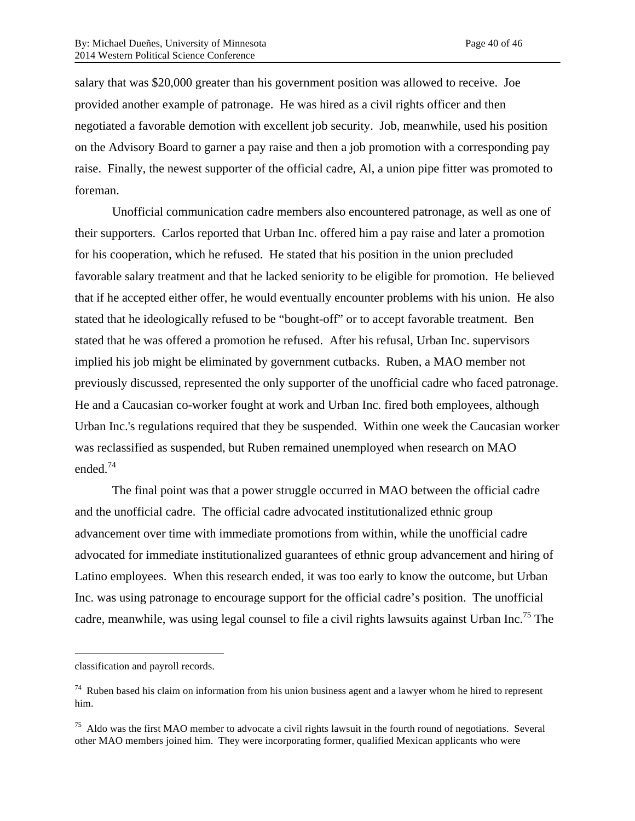salary that was \$20,000 greater than his government position was allowed to receive. Joe provided another example of patronage. He was hired as a civil rights officer and then negotiated a favorable demotion with excellent job security. Job, meanwhile, used his position on the Advisory Board to garner a pay raise and then a job promotion with a corresponding pay raise. Finally, the newest supporter of the official cadre, Al, a union pipe fitter was promoted to foreman.

Unofficial communication cadre members also encountered patronage, as well as one of their supporters. Carlos reported that Urban Inc. offered him a pay raise and later a promotion for his cooperation, which he refused. He stated that his position in the union precluded favorable salary treatment and that he lacked seniority to be eligible for promotion. He believed that if he accepted either offer, he would eventually encounter problems with his union. He also stated that he ideologically refused to be "bought-off" or to accept favorable treatment. Ben stated that he was offered a promotion he refused. After his refusal, Urban Inc. supervisors implied his job might be eliminated by government cutbacks. Ruben, a MAO member not previously discussed, represented the only supporter of the unofficial cadre who faced patronage. He and a Caucasian co-worker fought at work and Urban Inc. fired both employees, although Urban Inc.'s regulations required that they be suspended. Within one week the Caucasian worker was reclassified as suspended, but Ruben remained unemployed when research on MAO ended.74

The final point was that a power struggle occurred in MAO between the official cadre and the unofficial cadre. The official cadre advocated institutionalized ethnic group advancement over time with immediate promotions from within, while the unofficial cadre advocated for immediate institutionalized guarantees of ethnic group advancement and hiring of Latino employees. When this research ended, it was too early to know the outcome, but Urban Inc. was using patronage to encourage support for the official cadre's position. The unofficial cadre, meanwhile, was using legal counsel to file a civil rights lawsuits against Urban Inc.<sup>75</sup> The

 $\overline{a}$ 

classification and payroll records.

 $74$  Ruben based his claim on information from his union business agent and a lawyer whom he hired to represent him.

 $75$  Aldo was the first MAO member to advocate a civil rights lawsuit in the fourth round of negotiations. Several other MAO members joined him. They were incorporating former, qualified Mexican applicants who were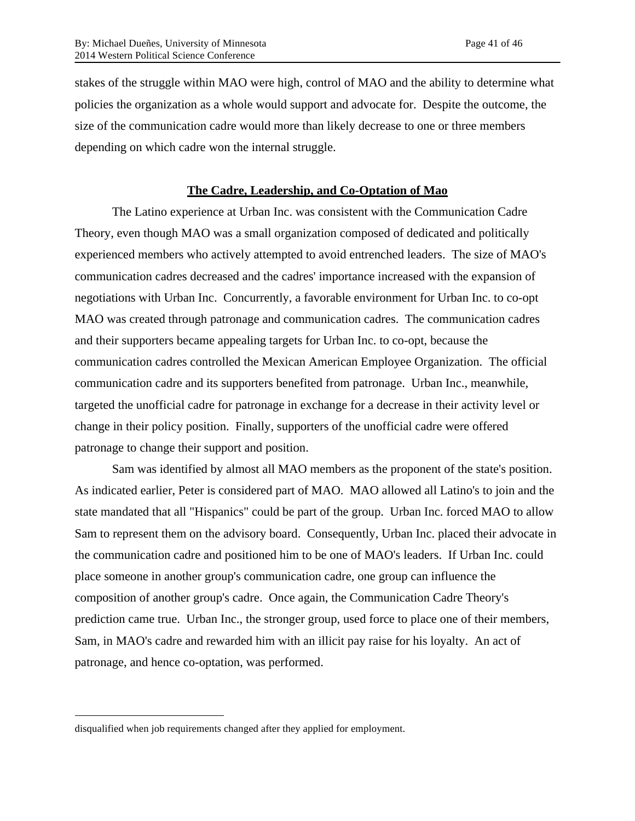stakes of the struggle within MAO were high, control of MAO and the ability to determine what policies the organization as a whole would support and advocate for. Despite the outcome, the size of the communication cadre would more than likely decrease to one or three members depending on which cadre won the internal struggle.

## **The Cadre, Leadership, and Co-Optation of Mao**

The Latino experience at Urban Inc. was consistent with the Communication Cadre Theory, even though MAO was a small organization composed of dedicated and politically experienced members who actively attempted to avoid entrenched leaders. The size of MAO's communication cadres decreased and the cadres' importance increased with the expansion of negotiations with Urban Inc. Concurrently, a favorable environment for Urban Inc. to co-opt MAO was created through patronage and communication cadres. The communication cadres and their supporters became appealing targets for Urban Inc. to co-opt, because the communication cadres controlled the Mexican American Employee Organization. The official communication cadre and its supporters benefited from patronage. Urban Inc., meanwhile, targeted the unofficial cadre for patronage in exchange for a decrease in their activity level or change in their policy position. Finally, supporters of the unofficial cadre were offered patronage to change their support and position.

Sam was identified by almost all MAO members as the proponent of the state's position. As indicated earlier, Peter is considered part of MAO. MAO allowed all Latino's to join and the state mandated that all "Hispanics" could be part of the group. Urban Inc. forced MAO to allow Sam to represent them on the advisory board. Consequently, Urban Inc. placed their advocate in the communication cadre and positioned him to be one of MAO's leaders. If Urban Inc. could place someone in another group's communication cadre, one group can influence the composition of another group's cadre. Once again, the Communication Cadre Theory's prediction came true. Urban Inc., the stronger group, used force to place one of their members, Sam, in MAO's cadre and rewarded him with an illicit pay raise for his loyalty. An act of patronage, and hence co-optation, was performed.

 $\overline{a}$ 

disqualified when job requirements changed after they applied for employment.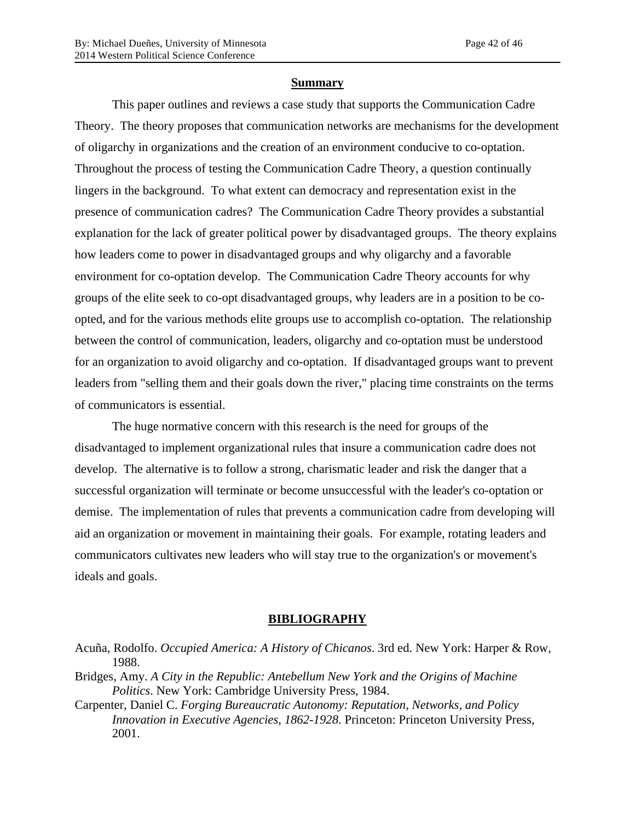#### **Summary**

This paper outlines and reviews a case study that supports the Communication Cadre Theory. The theory proposes that communication networks are mechanisms for the development of oligarchy in organizations and the creation of an environment conducive to co-optation. Throughout the process of testing the Communication Cadre Theory, a question continually lingers in the background. To what extent can democracy and representation exist in the presence of communication cadres? The Communication Cadre Theory provides a substantial explanation for the lack of greater political power by disadvantaged groups. The theory explains how leaders come to power in disadvantaged groups and why oligarchy and a favorable environment for co-optation develop. The Communication Cadre Theory accounts for why groups of the elite seek to co-opt disadvantaged groups, why leaders are in a position to be coopted, and for the various methods elite groups use to accomplish co-optation. The relationship between the control of communication, leaders, oligarchy and co-optation must be understood for an organization to avoid oligarchy and co-optation. If disadvantaged groups want to prevent leaders from "selling them and their goals down the river," placing time constraints on the terms of communicators is essential.

The huge normative concern with this research is the need for groups of the disadvantaged to implement organizational rules that insure a communication cadre does not develop. The alternative is to follow a strong, charismatic leader and risk the danger that a successful organization will terminate or become unsuccessful with the leader's co-optation or demise. The implementation of rules that prevents a communication cadre from developing will aid an organization or movement in maintaining their goals. For example, rotating leaders and communicators cultivates new leaders who will stay true to the organization's or movement's ideals and goals.

#### **BIBLIOGRAPHY**

- Bridges, Amy. *A City in the Republic: Antebellum New York and the Origins of Machine Politics*. New York: Cambridge University Press, 1984.
- Carpenter, Daniel C. *Forging Bureaucratic Autonomy: Reputation, Networks, and Policy Innovation in Executive Agencies, 1862-1928*. Princeton: Princeton University Press, 2001.

Acuña, Rodolfo. *Occupied America: A History of Chicanos*. 3rd ed. New York: Harper & Row, 1988.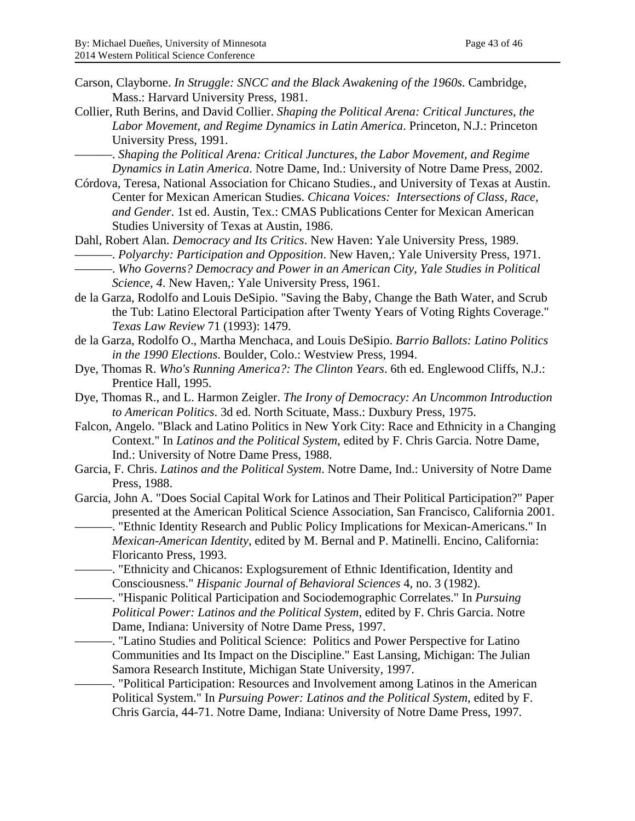- Carson, Clayborne. *In Struggle: SNCC and the Black Awakening of the 1960s*. Cambridge, Mass.: Harvard University Press, 1981.
- Collier, Ruth Berins, and David Collier. *Shaping the Political Arena: Critical Junctures, the Labor Movement, and Regime Dynamics in Latin America*. Princeton, N.J.: Princeton University Press, 1991.
	- ———. *Shaping the Political Arena: Critical Junctures, the Labor Movement, and Regime Dynamics in Latin America*. Notre Dame, Ind.: University of Notre Dame Press, 2002.
- Córdova, Teresa, National Association for Chicano Studies., and University of Texas at Austin. Center for Mexican American Studies. *Chicana Voices: Intersections of Class, Race, and Gender*. 1st ed. Austin, Tex.: CMAS Publications Center for Mexican American Studies University of Texas at Austin, 1986.

Dahl, Robert Alan. *Democracy and Its Critics*. New Haven: Yale University Press, 1989. ———. *Polyarchy: Participation and Opposition*. New Haven,: Yale University Press, 1971.

- ———. *Who Governs? Democracy and Power in an American City*, *Yale Studies in Political Science, 4*. New Haven,: Yale University Press, 1961.
- de la Garza, Rodolfo and Louis DeSipio. "Saving the Baby, Change the Bath Water, and Scrub the Tub: Latino Electoral Participation after Twenty Years of Voting Rights Coverage." *Texas Law Review* 71 (1993): 1479.
- de la Garza, Rodolfo O., Martha Menchaca, and Louis DeSipio. *Barrio Ballots: Latino Politics in the 1990 Elections*. Boulder, Colo.: Westview Press, 1994.
- Dye, Thomas R. *Who's Running America?: The Clinton Years*. 6th ed. Englewood Cliffs, N.J.: Prentice Hall, 1995.
- Dye, Thomas R., and L. Harmon Zeigler. *The Irony of Democracy: An Uncommon Introduction to American Politics*. 3d ed. North Scituate, Mass.: Duxbury Press, 1975.
- Falcon, Angelo. "Black and Latino Politics in New York City: Race and Ethnicity in a Changing Context." In *Latinos and the Political System*, edited by F. Chris Garcia. Notre Dame, Ind.: University of Notre Dame Press, 1988.
- Garcia, F. Chris. *Latinos and the Political System*. Notre Dame, Ind.: University of Notre Dame Press, 1988.
- Garcia, John A. "Does Social Capital Work for Latinos and Their Political Participation?" Paper presented at the American Political Science Association, San Francisco, California 2001. -. "Ethnic Identity Research and Public Policy Implications for Mexican-Americans." In *Mexican-American Identity*, edited by M. Bernal and P. Matinelli. Encino, California: Floricanto Press, 1993.
	- -. "Ethnicity and Chicanos: Explogsurement of Ethnic Identification, Identity and Consciousness." *Hispanic Journal of Behavioral Sciences* 4, no. 3 (1982).
	- ———. "Hispanic Political Participation and Sociodemographic Correlates." In *Pursuing Political Power: Latinos and the Political System*, edited by F. Chris Garcia. Notre Dame, Indiana: University of Notre Dame Press, 1997.
	- ———. "Latino Studies and Political Science: Politics and Power Perspective for Latino Communities and Its Impact on the Discipline." East Lansing, Michigan: The Julian Samora Research Institute, Michigan State University, 1997.
	- -. "Political Participation: Resources and Involvement among Latinos in the American Political System." In *Pursuing Power: Latinos and the Political System*, edited by F. Chris Garcia, 44-71. Notre Dame, Indiana: University of Notre Dame Press, 1997.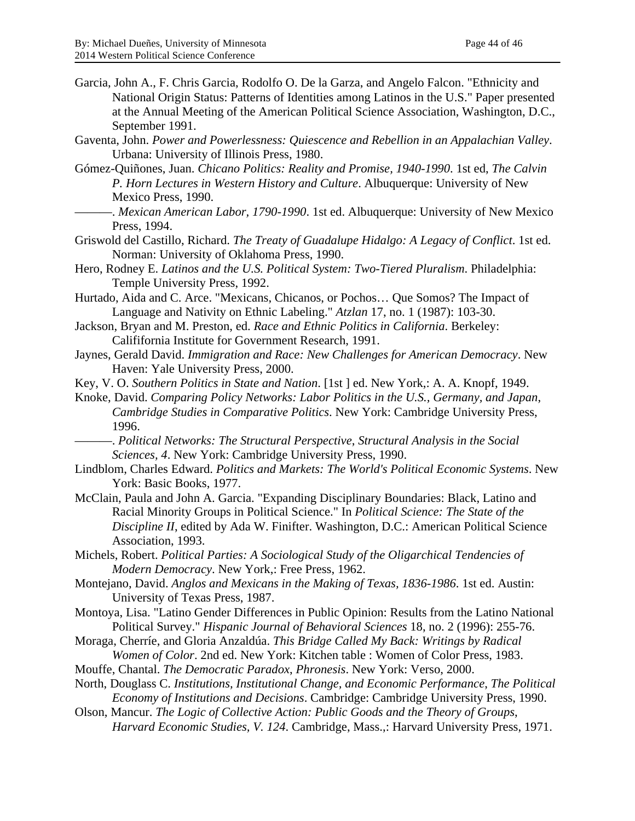- Garcia, John A., F. Chris Garcia, Rodolfo O. De la Garza, and Angelo Falcon. "Ethnicity and National Origin Status: Patterns of Identities among Latinos in the U.S." Paper presented at the Annual Meeting of the American Political Science Association, Washington, D.C., September 1991.
- Gaventa, John. *Power and Powerlessness: Quiescence and Rebellion in an Appalachian Valley*. Urbana: University of Illinois Press, 1980.
- Gómez-Quiñones, Juan. *Chicano Politics: Reality and Promise, 1940-1990*. 1st ed, *The Calvin P. Horn Lectures in Western History and Culture*. Albuquerque: University of New Mexico Press, 1990.
	- ———. *Mexican American Labor, 1790-1990*. 1st ed. Albuquerque: University of New Mexico Press, 1994.
- Griswold del Castillo, Richard. *The Treaty of Guadalupe Hidalgo: A Legacy of Conflict*. 1st ed. Norman: University of Oklahoma Press, 1990.
- Hero, Rodney E. *Latinos and the U.S. Political System: Two-Tiered Pluralism*. Philadelphia: Temple University Press, 1992.
- Hurtado, Aida and C. Arce. "Mexicans, Chicanos, or Pochos… Que Somos? The Impact of Language and Nativity on Ethnic Labeling." *Atzlan* 17, no. 1 (1987): 103-30.
- Jackson, Bryan and M. Preston, ed. *Race and Ethnic Politics in California*. Berkeley: Calififornia Institute for Government Research, 1991.
- Jaynes, Gerald David. *Immigration and Race: New Challenges for American Democracy*. New Haven: Yale University Press, 2000.
- Key, V. O. *Southern Politics in State and Nation*. [1st ] ed. New York,: A. A. Knopf, 1949.
- Knoke, David. *Comparing Policy Networks: Labor Politics in the U.S., Germany, and Japan*, *Cambridge Studies in Comparative Politics*. New York: Cambridge University Press, 1996.
	- ———. *Political Networks: The Structural Perspective*, *Structural Analysis in the Social Sciences, 4*. New York: Cambridge University Press, 1990.
- Lindblom, Charles Edward. *Politics and Markets: The World's Political Economic Systems*. New York: Basic Books, 1977.
- McClain, Paula and John A. Garcia. "Expanding Disciplinary Boundaries: Black, Latino and Racial Minority Groups in Political Science." In *Political Science: The State of the Discipline II*, edited by Ada W. Finifter. Washington, D.C.: American Political Science Association, 1993.

Michels, Robert. *Political Parties: A Sociological Study of the Oligarchical Tendencies of Modern Democracy*. New York,: Free Press, 1962.

- Montejano, David. *Anglos and Mexicans in the Making of Texas, 1836-1986*. 1st ed. Austin: University of Texas Press, 1987.
- Montoya, Lisa. "Latino Gender Differences in Public Opinion: Results from the Latino National Political Survey." *Hispanic Journal of Behavioral Sciences* 18, no. 2 (1996): 255-76.
- Moraga, Cherríe, and Gloria Anzaldúa. *This Bridge Called My Back: Writings by Radical Women of Color*. 2nd ed. New York: Kitchen table : Women of Color Press, 1983.
- Mouffe, Chantal. *The Democratic Paradox*, *Phronesis*. New York: Verso, 2000.
- North, Douglass C. *Institutions, Institutional Change, and Economic Performance*, *The Political Economy of Institutions and Decisions*. Cambridge: Cambridge University Press, 1990.
- Olson, Mancur. *The Logic of Collective Action: Public Goods and the Theory of Groups*, *Harvard Economic Studies, V. 124*. Cambridge, Mass.,: Harvard University Press, 1971.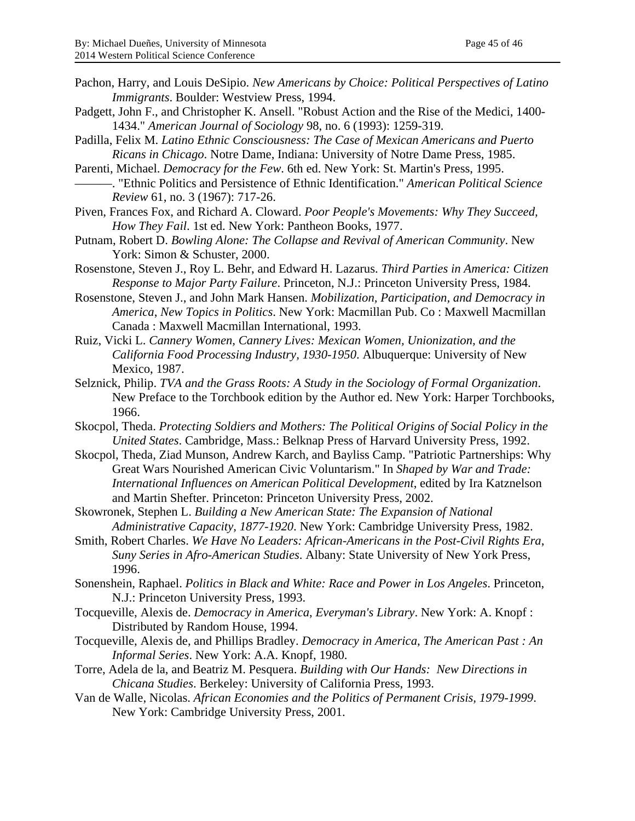- Pachon, Harry, and Louis DeSipio. *New Americans by Choice: Political Perspectives of Latino Immigrants*. Boulder: Westview Press, 1994.
- Padgett, John F., and Christopher K. Ansell. "Robust Action and the Rise of the Medici, 1400- 1434." *American Journal of Sociology* 98, no. 6 (1993): 1259-319.
- Padilla, Felix M. *Latino Ethnic Consciousness: The Case of Mexican Americans and Puerto Ricans in Chicago*. Notre Dame, Indiana: University of Notre Dame Press, 1985.
- Parenti, Michael. *Democracy for the Few*. 6th ed. New York: St. Martin's Press, 1995. ———. "Ethnic Politics and Persistence of Ethnic Identification." *American Political Science Review* 61, no. 3 (1967): 717-26.
- Piven, Frances Fox, and Richard A. Cloward. *Poor People's Movements: Why They Succeed, How They Fail*. 1st ed. New York: Pantheon Books, 1977.
- Putnam, Robert D. *Bowling Alone: The Collapse and Revival of American Community*. New York: Simon & Schuster, 2000.
- Rosenstone, Steven J., Roy L. Behr, and Edward H. Lazarus. *Third Parties in America: Citizen Response to Major Party Failure*. Princeton, N.J.: Princeton University Press, 1984.
- Rosenstone, Steven J., and John Mark Hansen. *Mobilization, Participation, and Democracy in America*, *New Topics in Politics*. New York: Macmillan Pub. Co : Maxwell Macmillan Canada : Maxwell Macmillan International, 1993.
- Ruiz, Vicki L. *Cannery Women, Cannery Lives: Mexican Women, Unionization, and the California Food Processing Industry, 1930-1950*. Albuquerque: University of New Mexico, 1987.
- Selznick, Philip. *TVA and the Grass Roots: A Study in the Sociology of Formal Organization*. New Preface to the Torchbook edition by the Author ed. New York: Harper Torchbooks, 1966.
- Skocpol, Theda. *Protecting Soldiers and Mothers: The Political Origins of Social Policy in the United States*. Cambridge, Mass.: Belknap Press of Harvard University Press, 1992.
- Skocpol, Theda, Ziad Munson, Andrew Karch, and Bayliss Camp. "Patriotic Partnerships: Why Great Wars Nourished American Civic Voluntarism." In *Shaped by War and Trade: International Influences on American Political Development*, edited by Ira Katznelson and Martin Shefter. Princeton: Princeton University Press, 2002.
- Skowronek, Stephen L. *Building a New American State: The Expansion of National Administrative Capacity, 1877-1920*. New York: Cambridge University Press, 1982.
- Smith, Robert Charles. *We Have No Leaders: African-Americans in the Post-Civil Rights Era*, *Suny Series in Afro-American Studies*. Albany: State University of New York Press, 1996.
- Sonenshein, Raphael. *Politics in Black and White: Race and Power in Los Angeles*. Princeton, N.J.: Princeton University Press, 1993.
- Tocqueville, Alexis de. *Democracy in America*, *Everyman's Library*. New York: A. Knopf : Distributed by Random House, 1994.
- Tocqueville, Alexis de, and Phillips Bradley. *Democracy in America*, *The American Past : An Informal Series*. New York: A.A. Knopf, 1980.
- Torre, Adela de la, and Beatriz M. Pesquera. *Building with Our Hands: New Directions in Chicana Studies*. Berkeley: University of California Press, 1993.
- Van de Walle, Nicolas. *African Economies and the Politics of Permanent Crisis, 1979-1999*. New York: Cambridge University Press, 2001.